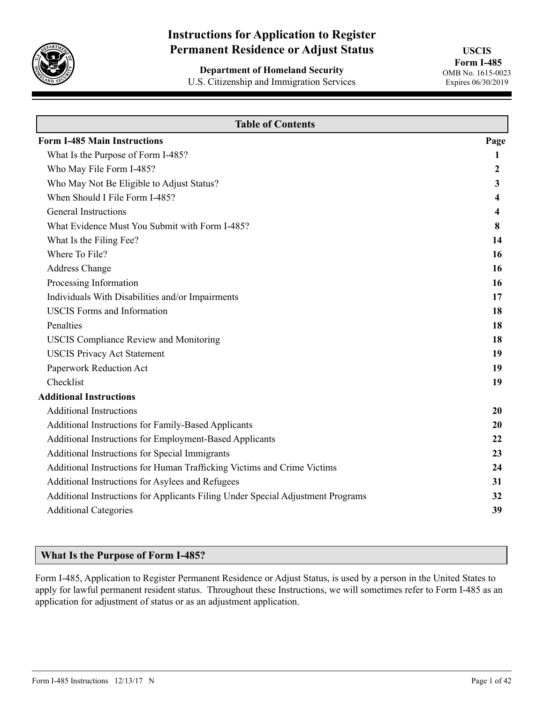

# **Instructions for Application to Register Permanent Residence or Adjust Status**

**Department of Homeland Security** U.S. Citizenship and Immigration Services

**USCIS Form I-485** OMB No. 1615-0023 Expires 06/30/2019

| <b>Table of Contents</b>                                                        |                         |
|---------------------------------------------------------------------------------|-------------------------|
| <b>Form I-485 Main Instructions</b>                                             | Page                    |
| What Is the Purpose of Form I-485?                                              | 1                       |
| Who May File Form I-485?                                                        | 2                       |
| Who May Not Be Eligible to Adjust Status?                                       | 3                       |
| When Should I File Form I-485?                                                  | 4                       |
| <b>General Instructions</b>                                                     | $\overline{\mathbf{4}}$ |
| What Evidence Must You Submit with Form I-485?                                  | 8                       |
| What Is the Filing Fee?                                                         | 14                      |
| Where To File?                                                                  | 16                      |
| <b>Address Change</b>                                                           | <b>16</b>               |
| Processing Information                                                          | 16                      |
| Individuals With Disabilities and/or Impairments                                | 17                      |
| <b>USCIS</b> Forms and Information                                              | 18                      |
| Penalties                                                                       | 18                      |
| <b>USCIS Compliance Review and Monitoring</b>                                   | 18                      |
| <b>USCIS Privacy Act Statement</b>                                              | 19                      |
| Paperwork Reduction Act                                                         | 19                      |
| Checklist                                                                       | 19                      |
| <b>Additional Instructions</b>                                                  |                         |
| <b>Additional Instructions</b>                                                  | 20                      |
| Additional Instructions for Family-Based Applicants                             | 20                      |
| Additional Instructions for Employment-Based Applicants                         | 22                      |
| Additional Instructions for Special Immigrants                                  | 23                      |
| Additional Instructions for Human Trafficking Victims and Crime Victims         | 24                      |
| Additional Instructions for Asylees and Refugees                                | 31                      |
| Additional Instructions for Applicants Filing Under Special Adjustment Programs | 32                      |
| <b>Additional Categories</b>                                                    | 39                      |
|                                                                                 |                         |

## **What Is the Purpose of Form I-485?**

Form I-485, Application to Register Permanent Residence or Adjust Status, is used by a person in the United States to apply for lawful permanent resident status. Throughout these Instructions, we will sometimes refer to Form I-485 as an application for adjustment of status or as an adjustment application.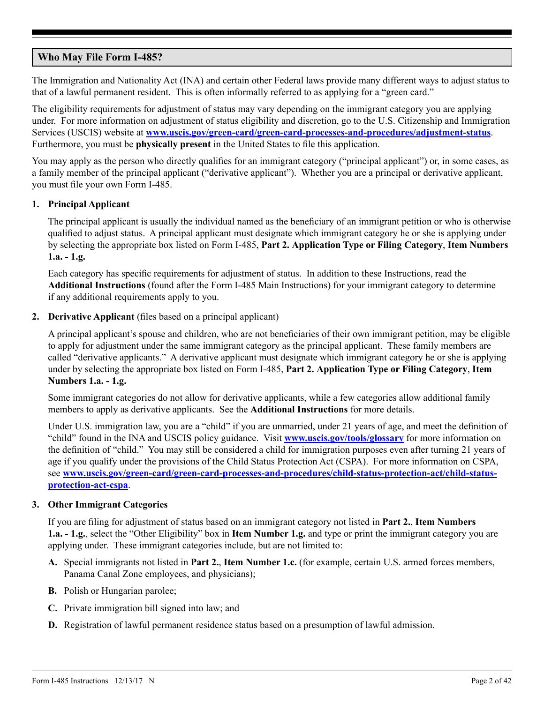## <span id="page-1-0"></span>**Who May File Form I-485?**

The Immigration and Nationality Act (INA) and certain other Federal laws provide many different ways to adjust status to that of a lawful permanent resident. This is often informally referred to as applying for a "green card."

The eligibility requirements for adjustment of status may vary depending on the immigrant category you are applying under. For more information on adjustment of status eligibility and discretion, go to the U.S. Citizenship and Immigration Services (USCIS) website at **[www.uscis.gov/green-card/green-card-processes-and-procedures/adjustment-status](http://www.uscis.gov/green-card/green-card-processes-and-procedures/adjustment-status)**. Furthermore, you must be **physically present** in the United States to file this application.

You may apply as the person who directly qualifies for an immigrant category ("principal applicant") or, in some cases, as a family member of the principal applicant ("derivative applicant"). Whether you are a principal or derivative applicant, you must file your own Form I-485.

## **1. Principal Applicant**

The principal applicant is usually the individual named as the beneficiary of an immigrant petition or who is otherwise qualified to adjust status. A principal applicant must designate which immigrant category he or she is applying under by selecting the appropriate box listed on Form I-485, **Part 2. Application Type or Filing Category**, **Item Numbers 1.a. - 1.g.**

Each category has specific requirements for adjustment of status. In addition to these Instructions, read the **Additional Instructions** (found after the Form I-485 Main Instructions) for your immigrant category to determine if any additional requirements apply to you.

### **2. Derivative Applicant** (files based on a principal applicant)

A principal applicant's spouse and children, who are not beneficiaries of their own immigrant petition, may be eligible to apply for adjustment under the same immigrant category as the principal applicant. These family members are called "derivative applicants." A derivative applicant must designate which immigrant category he or she is applying under by selecting the appropriate box listed on Form I-485, **Part 2. Application Type or Filing Category**, **Item Numbers 1.a. - 1.g.**

Some immigrant categories do not allow for derivative applicants, while a few categories allow additional family members to apply as derivative applicants. See the **Additional Instructions** for more details.

Under U.S. immigration law, you are a "child" if you are unmarried, under 21 years of age, and meet the definition of "child" found in the INA and USCIS policy guidance. Visit **www.uscis.gov/tools/glossary** for more information on the definition of "child." You may still be considered a child for immigration purposes even after turning 21 years of age if you qualify under the provisions of the Child Status Protection Act (CSPA). For more information on CSPA, see **[www.uscis.gov/green-card/green-card-processes-and-procedures/child-status-protection-act/child-status](http://www.uscis.gov/green-card/green-card-processes-and-procedures/child-status-protection-act/child-status-protection-act-cspa)[protection-act-cspa](http://www.uscis.gov/green-card/green-card-processes-and-procedures/child-status-protection-act/child-status-protection-act-cspa)**.

### **3. Other Immigrant Categories**

If you are filing for adjustment of status based on an immigrant category not listed in **Part 2.**, **Item Numbers 1.a. - 1.g.**, select the "Other Eligibility" box in **Item Number 1.g.** and type or print the immigrant category you are applying under. These immigrant categories include, but are not limited to:

- **A.** Special immigrants not listed in **Part 2.**, **Item Number 1.c.** (for example, certain U.S. armed forces members, Panama Canal Zone employees, and physicians);
- **B.** Polish or Hungarian parolee;
- **C.** Private immigration bill signed into law; and
- **D.** Registration of lawful permanent residence status based on a presumption of lawful admission.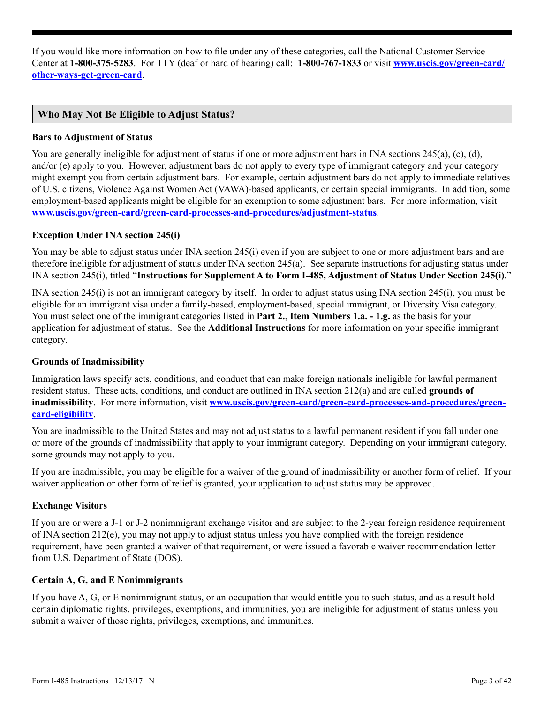<span id="page-2-0"></span>If you would like more information on how to file under any of these categories, call the National Customer Service Center at **1-800-375-5283**. For TTY (deaf or hard of hearing) call: **1-800-767-1833** or visit **[www.uscis.gov/green-card/](http://www.uscis.gov/green-card/other-ways-get-green-card) [other-ways-get-green-card](http://www.uscis.gov/green-card/other-ways-get-green-card)**.

## **Who May Not Be Eligible to Adjust Status?**

### **Bars to Adjustment of Status**

You are generally ineligible for adjustment of status if one or more adjustment bars in INA sections 245(a), (c), (d), and/or (e) apply to you. However, adjustment bars do not apply to every type of immigrant category and your category might exempt you from certain adjustment bars. For example, certain adjustment bars do not apply to immediate relatives of U.S. citizens, Violence Against Women Act (VAWA)-based applicants, or certain special immigrants. In addition, some employment-based applicants might be eligible for an exemption to some adjustment bars. For more information, visit **[www.uscis.gov/green-card/green-card-processes-and-procedures/adjustment-status](http://www.uscis.gov/green-card/green-card-processes-and-procedures/adjustment-status)**.

### **Exception Under INA section 245(i)**

You may be able to adjust status under INA section 245(i) even if you are subject to one or more adjustment bars and are therefore ineligible for adjustment of status under INA section 245(a). See separate instructions for adjusting status under INA section 245(i), titled "**Instructions for Supplement A to Form I-485, Adjustment of Status Under Section 245(i)**."

INA section 245(i) is not an immigrant category by itself. In order to adjust status using INA section 245(i), you must be eligible for an immigrant visa under a family-based, employment-based, special immigrant, or Diversity Visa category. You must select one of the immigrant categories listed in **Part 2.**, **Item Numbers 1.a. - 1.g.** as the basis for your application for adjustment of status. See the **Additional Instructions** for more information on your specific immigrant category.

### **Grounds of Inadmissibility**

Immigration laws specify acts, conditions, and conduct that can make foreign nationals ineligible for lawful permanent resident status. These acts, conditions, and conduct are outlined in INA section 212(a) and are called **grounds of inadmissibility**. For more information, visit **[www.uscis.gov/green-card/green-card-processes-and-procedures/green](http://www.uscis.gov/green-card/green-card-processes-and-procedures/green-card-eligibility)[card-eligibility](http://www.uscis.gov/green-card/green-card-processes-and-procedures/green-card-eligibility)**.

You are inadmissible to the United States and may not adjust status to a lawful permanent resident if you fall under one or more of the grounds of inadmissibility that apply to your immigrant category. Depending on your immigrant category, some grounds may not apply to you.

If you are inadmissible, you may be eligible for a waiver of the ground of inadmissibility or another form of relief. If your waiver application or other form of relief is granted, your application to adjust status may be approved.

### **Exchange Visitors**

If you are or were a J-1 or J-2 nonimmigrant exchange visitor and are subject to the 2-year foreign residence requirement of INA section 212(e), you may not apply to adjust status unless you have complied with the foreign residence requirement, have been granted a waiver of that requirement, or were issued a favorable waiver recommendation letter from U.S. Department of State (DOS).

### **Certain A, G, and E Nonimmigrants**

If you have A, G, or E nonimmigrant status, or an occupation that would entitle you to such status, and as a result hold certain diplomatic rights, privileges, exemptions, and immunities, you are ineligible for adjustment of status unless you submit a waiver of those rights, privileges, exemptions, and immunities.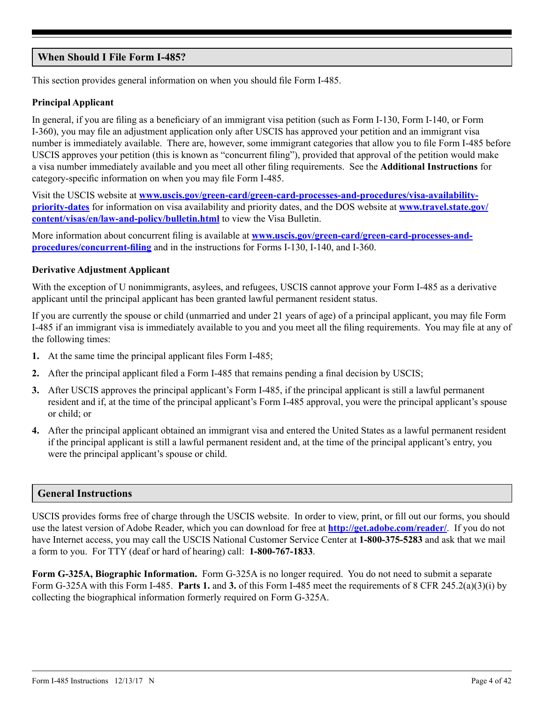## <span id="page-3-0"></span>**When Should I File Form I-485?**

This section provides general information on when you should file Form I-485.

## **Principal Applicant**

In general, if you are filing as a beneficiary of an immigrant visa petition (such as Form I-130, Form I-140, or Form I-360), you may file an adjustment application only after USCIS has approved your petition and an immigrant visa number is immediately available. There are, however, some immigrant categories that allow you to file Form I-485 before USCIS approves your petition (this is known as "concurrent filing"), provided that approval of the petition would make a visa number immediately available and you meet all other filing requirements. See the **Additional Instructions** for category-specific information on when you may file Form I-485.

Visit the USCIS website at **[www.uscis.gov/green-card/green-card-processes-and-procedures/visa-availability](http://www.uscis.gov/green-card/green-card-processes-and-procedures/visa-availability-priority-dates)[priority-dates](http://www.uscis.gov/green-card/green-card-processes-and-procedures/visa-availability-priority-dates)** for information on visa availability and priority dates, and the DOS website at **[www.travel.state.gov/](www.travel.state.gov/content/visas/en/law-and-policy/bulletin.html) [content/visas/en/law-and-policy/bulletin.html](www.travel.state.gov/content/visas/en/law-and-policy/bulletin.html)** to view the Visa Bulletin.

More information about concurrent filing is available at **[www.uscis.gov/green-card/green-card-processes-and](http://www.uscis.gov/green-card/green-card-processes-and-procedures/concurrent-filing)[procedures/concurrent-filing](http://www.uscis.gov/green-card/green-card-processes-and-procedures/concurrent-filing)** and in the instructions for Forms I-130, I-140, and I-360.

### **Derivative Adjustment Applicant**

With the exception of U nonimmigrants, asylees, and refugees, USCIS cannot approve your Form I-485 as a derivative applicant until the principal applicant has been granted lawful permanent resident status.

If you are currently the spouse or child (unmarried and under 21 years of age) of a principal applicant, you may file Form I-485 if an immigrant visa is immediately available to you and you meet all the filing requirements. You may file at any of the following times:

- **1.** At the same time the principal applicant files Form I-485;
- **2.** After the principal applicant filed a Form I-485 that remains pending a final decision by USCIS;
- **3.** After USCIS approves the principal applicant's Form I-485, if the principal applicant is still a lawful permanent resident and if, at the time of the principal applicant's Form I-485 approval, you were the principal applicant's spouse or child; or
- **4.** After the principal applicant obtained an immigrant visa and entered the United States as a lawful permanent resident if the principal applicant is still a lawful permanent resident and, at the time of the principal applicant's entry, you were the principal applicant's spouse or child.

## **General Instructions**

USCIS provides forms free of charge through the USCIS website. In order to view, print, or fill out our forms, you should use the latest version of Adobe Reader, which you can download for free at **http://get.adobe.com/reader/**. If you do not have Internet access, you may call the USCIS National Customer Service Center at **1-800-375-5283** and ask that we mail a form to you. For TTY (deaf or hard of hearing) call: **1-800-767-1833**.

**Form G-325A, Biographic Information.** Form G-325A is no longer required. You do not need to submit a separate Form G-325A with this Form I-485. **Parts 1.** and **3.** of this Form I-485 meet the requirements of 8 CFR 245.2(a)(3)(i) by collecting the biographical information formerly required on Form G-325A.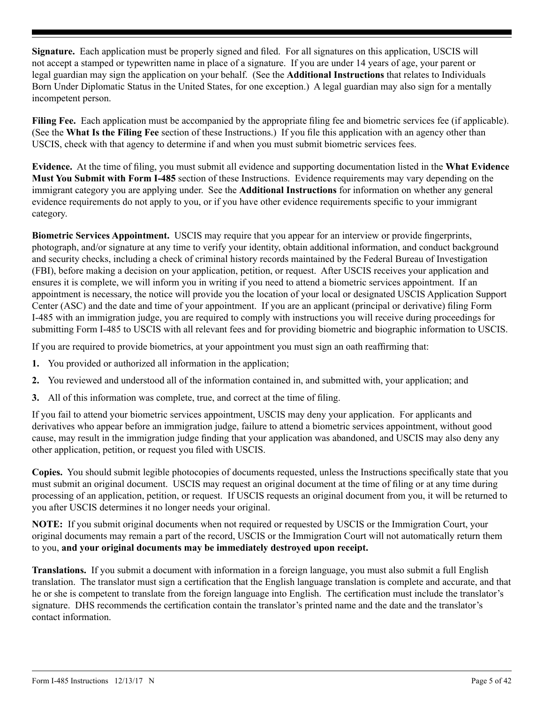**Signature.** Each application must be properly signed and filed. For all signatures on this application, USCIS will not accept a stamped or typewritten name in place of a signature. If you are under 14 years of age, your parent or legal guardian may sign the application on your behalf. (See the **Additional Instructions** that relates to Individuals Born Under Diplomatic Status in the United States, for one exception.) A legal guardian may also sign for a mentally incompetent person.

**Filing Fee.** Each application must be accompanied by the appropriate filing fee and biometric services fee (if applicable). (See the **What Is the Filing Fee** section of these Instructions.) If you file this application with an agency other than USCIS, check with that agency to determine if and when you must submit biometric services fees.

**Evidence.** At the time of filing, you must submit all evidence and supporting documentation listed in the **What Evidence Must You Submit with Form I-485** section of these Instructions. Evidence requirements may vary depending on the immigrant category you are applying under. See the **Additional Instructions** for information on whether any general evidence requirements do not apply to you, or if you have other evidence requirements specific to your immigrant category.

**Biometric Services Appointment.** USCIS may require that you appear for an interview or provide fingerprints, photograph, and/or signature at any time to verify your identity, obtain additional information, and conduct background and security checks, including a check of criminal history records maintained by the Federal Bureau of Investigation (FBI), before making a decision on your application, petition, or request. After USCIS receives your application and ensures it is complete, we will inform you in writing if you need to attend a biometric services appointment. If an appointment is necessary, the notice will provide you the location of your local or designated USCIS Application Support Center (ASC) and the date and time of your appointment. If you are an applicant (principal or derivative) filing Form I-485 with an immigration judge, you are required to comply with instructions you will receive during proceedings for submitting Form I-485 to USCIS with all relevant fees and for providing biometric and biographic information to USCIS.

If you are required to provide biometrics, at your appointment you must sign an oath reaffirming that:

- **1.** You provided or authorized all information in the application;
- **2.** You reviewed and understood all of the information contained in, and submitted with, your application; and
- **3.** All of this information was complete, true, and correct at the time of filing.

If you fail to attend your biometric services appointment, USCIS may deny your application. For applicants and derivatives who appear before an immigration judge, failure to attend a biometric services appointment, without good cause, may result in the immigration judge finding that your application was abandoned, and USCIS may also deny any other application, petition, or request you filed with USCIS.

**Copies.** You should submit legible photocopies of documents requested, unless the Instructions specifically state that you must submit an original document. USCIS may request an original document at the time of filing or at any time during processing of an application, petition, or request. If USCIS requests an original document from you, it will be returned to you after USCIS determines it no longer needs your original.

**NOTE:** If you submit original documents when not required or requested by USCIS or the Immigration Court, your original documents may remain a part of the record, USCIS or the Immigration Court will not automatically return them to you, **and your original documents may be immediately destroyed upon receipt.**

**Translations.** If you submit a document with information in a foreign language, you must also submit a full English translation. The translator must sign a certification that the English language translation is complete and accurate, and that he or she is competent to translate from the foreign language into English. The certification must include the translator's signature. DHS recommends the certification contain the translator's printed name and the date and the translator's contact information.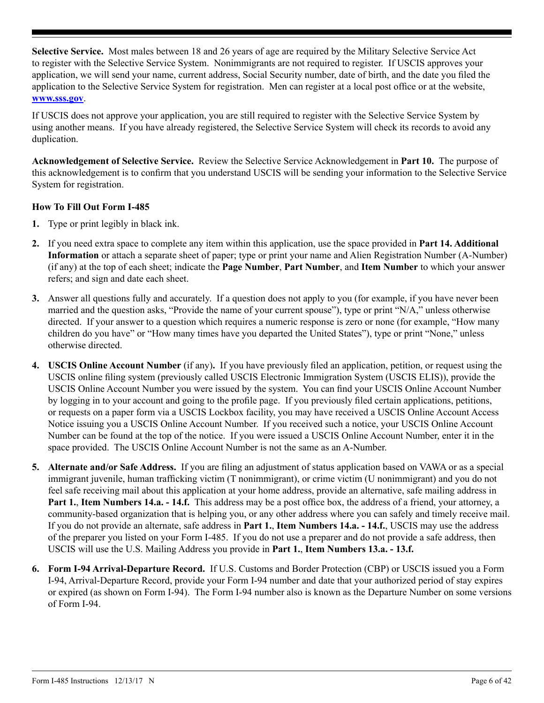**Selective Service.** Most males between 18 and 26 years of age are required by the Military Selective Service Act to register with the Selective Service System. Nonimmigrants are not required to register. If USCIS approves your application, we will send your name, current address, Social Security number, date of birth, and the date you filed the application to the Selective Service System for registration. Men can register at a local post office or at the website, **www.sss.gov**.

If USCIS does not approve your application, you are still required to register with the Selective Service System by using another means. If you have already registered, the Selective Service System will check its records to avoid any duplication.

**Acknowledgement of Selective Service.** Review the Selective Service Acknowledgement in **Part 10.** The purpose of this acknowledgement is to confirm that you understand USCIS will be sending your information to the Selective Service System for registration.

### **How To Fill Out Form I-485**

- **1.** Type or print legibly in black ink.
- **2.** If you need extra space to complete any item within this application, use the space provided in **Part 14. Additional Information** or attach a separate sheet of paper; type or print your name and Alien Registration Number (A-Number) (if any) at the top of each sheet; indicate the **Page Number**, **Part Number**, and **Item Number** to which your answer refers; and sign and date each sheet.
- **3.** Answer all questions fully and accurately. If a question does not apply to you (for example, if you have never been married and the question asks, "Provide the name of your current spouse"), type or print "N/A," unless otherwise directed. If your answer to a question which requires a numeric response is zero or none (for example, "How many children do you have" or "How many times have you departed the United States"), type or print "None," unless otherwise directed.
- **4. USCIS Online Account Number** (if any)**.** If you have previously filed an application, petition, or request using the USCIS online filing system (previously called USCIS Electronic Immigration System (USCIS ELIS)), provide the USCIS Online Account Number you were issued by the system. You can find your USCIS Online Account Number by logging in to your account and going to the profile page. If you previously filed certain applications, petitions, or requests on a paper form via a USCIS Lockbox facility, you may have received a USCIS Online Account Access Notice issuing you a USCIS Online Account Number. If you received such a notice, your USCIS Online Account Number can be found at the top of the notice. If you were issued a USCIS Online Account Number, enter it in the space provided. The USCIS Online Account Number is not the same as an A-Number.
- **5. Alternate and/or Safe Address.** If you are filing an adjustment of status application based on VAWA or as a special immigrant juvenile, human trafficking victim (T nonimmigrant), or crime victim (U nonimmigrant) and you do not feel safe receiving mail about this application at your home address, provide an alternative, safe mailing address in **Part 1.**, **Item Numbers 14.a. - 14.f.** This address may be a post office box, the address of a friend, your attorney, a community-based organization that is helping you, or any other address where you can safely and timely receive mail. If you do not provide an alternate, safe address in **Part 1.**, **Item Numbers 14.a. - 14.f.**, USCIS may use the address of the preparer you listed on your Form I-485. If you do not use a preparer and do not provide a safe address, then USCIS will use the U.S. Mailing Address you provide in **Part 1.**, **Item Numbers 13.a. - 13.f.**
- **6. Form I-94 Arrival-Departure Record.** If U.S. Customs and Border Protection (CBP) or USCIS issued you a Form I-94, Arrival-Departure Record, provide your Form I-94 number and date that your authorized period of stay expires or expired (as shown on Form I-94). The Form I-94 number also is known as the Departure Number on some versions of Form I-94.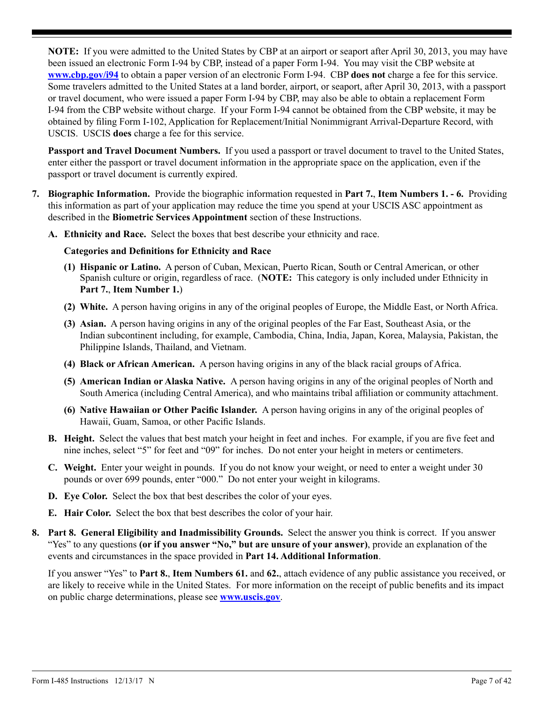**NOTE:** If you were admitted to the United States by CBP at an airport or seaport after April 30, 2013, you may have been issued an electronic Form I-94 by CBP, instead of a paper Form I-94. You may visit the CBP website at **www.cbp.gov/i94** to obtain a paper version of an electronic Form I-94. CBP **does not** charge a fee for this service. Some travelers admitted to the United States at a land border, airport, or seaport, after April 30, 2013, with a passport or travel document, who were issued a paper Form I-94 by CBP, may also be able to obtain a replacement Form I-94 from the CBP website without charge. If your Form I-94 cannot be obtained from the CBP website, it may be obtained by filing Form I-102, Application for Replacement/Initial Nonimmigrant Arrival-Departure Record, with USCIS. USCIS **does** charge a fee for this service.

**Passport and Travel Document Numbers.** If you used a passport or travel document to travel to the United States, enter either the passport or travel document information in the appropriate space on the application, even if the passport or travel document is currently expired.

- **7. Biographic Information.** Provide the biographic information requested in **Part 7.**, **Item Numbers 1. 6.** Providing this information as part of your application may reduce the time you spend at your USCIS ASC appointment as described in the **Biometric Services Appointment** section of these Instructions.
	- **A. Ethnicity and Race.** Select the boxes that best describe your ethnicity and race.

### **Categories and Definitions for Ethnicity and Race**

- **(1) Hispanic or Latino.** A person of Cuban, Mexican, Puerto Rican, South or Central American, or other Spanish culture or origin, regardless of race. (**NOTE:** This category is only included under Ethnicity in **Part 7.**, **Item Number 1.**)
- **(2) White.** A person having origins in any of the original peoples of Europe, the Middle East, or North Africa.
- **(3) Asian.** A person having origins in any of the original peoples of the Far East, Southeast Asia, or the Indian subcontinent including, for example, Cambodia, China, India, Japan, Korea, Malaysia, Pakistan, the Philippine Islands, Thailand, and Vietnam.
- **(4) Black or African American.** A person having origins in any of the black racial groups of Africa.
- **(5) American Indian or Alaska Native.** A person having origins in any of the original peoples of North and South America (including Central America), and who maintains tribal affiliation or community attachment.
- **(6) Native Hawaiian or Other Pacific Islander.** A person having origins in any of the original peoples of Hawaii, Guam, Samoa, or other Pacific Islands.
- **B. Height.** Select the values that best match your height in feet and inches. For example, if you are five feet and nine inches, select "5" for feet and "09" for inches. Do not enter your height in meters or centimeters.
- **C. Weight.** Enter your weight in pounds. If you do not know your weight, or need to enter a weight under 30 pounds or over 699 pounds, enter "000." Do not enter your weight in kilograms.
- **D. Eye Color.** Select the box that best describes the color of your eyes.
- **E. Hair Color.** Select the box that best describes the color of your hair.
- **8. Part 8. General Eligibility and Inadmissibility Grounds.** Select the answer you think is correct. If you answer "Yes" to any questions **(or if you answer "No," but are unsure of your answer)**, provide an explanation of the events and circumstances in the space provided in **Part 14. Additional Information**.

If you answer "Yes" to **Part 8.**, **Item Numbers 61.** and **62.**, attach evidence of any public assistance you received, or are likely to receive while in the United States. For more information on the receipt of public benefits and its impact on public charge determinations, please see **www.uscis.gov**.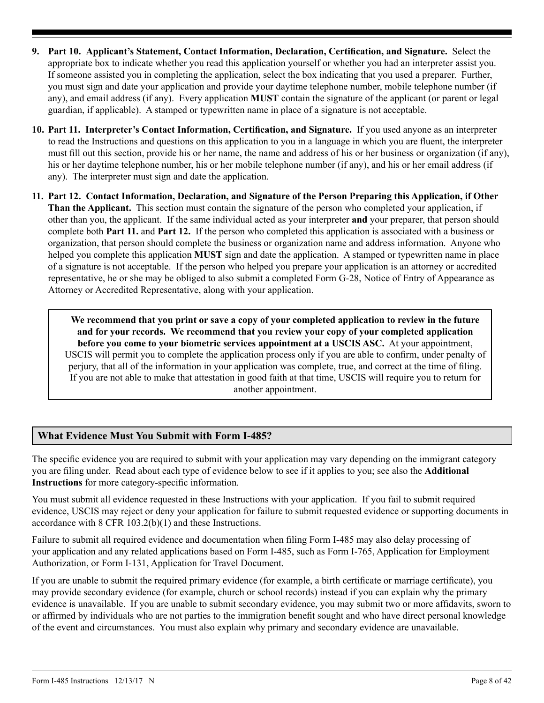- **9. Part 10. Applicant's Statement, Contact Information, Declaration, Certification, and Signature.** Select the appropriate box to indicate whether you read this application yourself or whether you had an interpreter assist you. If someone assisted you in completing the application, select the box indicating that you used a preparer. Further, you must sign and date your application and provide your daytime telephone number, mobile telephone number (if any), and email address (if any). Every application **MUST** contain the signature of the applicant (or parent or legal guardian, if applicable). A stamped or typewritten name in place of a signature is not acceptable.
- **10. Part 11. Interpreter's Contact Information, Certification, and Signature.** If you used anyone as an interpreter to read the Instructions and questions on this application to you in a language in which you are fluent, the interpreter must fill out this section, provide his or her name, the name and address of his or her business or organization (if any), his or her daytime telephone number, his or her mobile telephone number (if any), and his or her email address (if any). The interpreter must sign and date the application.
- **11. Part 12. Contact Information, Declaration, and Signature of the Person Preparing this Application, if Other Than the Applicant.** This section must contain the signature of the person who completed your application, if other than you, the applicant. If the same individual acted as your interpreter **and** your preparer, that person should complete both **Part 11.** and **Part 12.** If the person who completed this application is associated with a business or organization, that person should complete the business or organization name and address information. Anyone who helped you complete this application **MUST** sign and date the application. A stamped or typewritten name in place of a signature is not acceptable. If the person who helped you prepare your application is an attorney or accredited representative, he or she may be obliged to also submit a completed Form G-28, Notice of Entry of Appearance as Attorney or Accredited Representative, along with your application.

**We recommend that you print or save a copy of your completed application to review in the future and for your records. We recommend that you review your copy of your completed application before you come to your biometric services appointment at a USCIS ASC.** At your appointment, USCIS will permit you to complete the application process only if you are able to confirm, under penalty of perjury, that all of the information in your application was complete, true, and correct at the time of filing. If you are not able to make that attestation in good faith at that time, USCIS will require you to return for another appointment.

## **What Evidence Must You Submit with Form I-485?**

The specific evidence you are required to submit with your application may vary depending on the immigrant category you are filing under. Read about each type of evidence below to see if it applies to you; see also the **Additional Instructions** for more category-specific information.

You must submit all evidence requested in these Instructions with your application. If you fail to submit required evidence, USCIS may reject or deny your application for failure to submit requested evidence or supporting documents in accordance with 8 CFR 103.2(b)(1) and these Instructions.

Failure to submit all required evidence and documentation when filing Form I-485 may also delay processing of your application and any related applications based on Form I-485, such as Form I-765, Application for Employment Authorization, or Form I-131, Application for Travel Document.

If you are unable to submit the required primary evidence (for example, a birth certificate or marriage certificate), you may provide secondary evidence (for example, church or school records) instead if you can explain why the primary evidence is unavailable. If you are unable to submit secondary evidence, you may submit two or more affidavits, sworn to or affirmed by individuals who are not parties to the immigration benefit sought and who have direct personal knowledge of the event and circumstances. You must also explain why primary and secondary evidence are unavailable.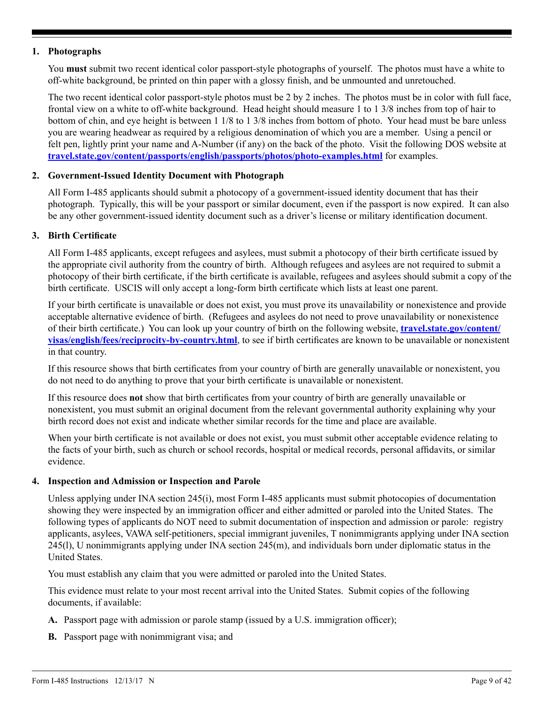### <span id="page-8-0"></span>**1. Photographs**

You **must** submit two recent identical color passport-style photographs of yourself. The photos must have a white to off-white background, be printed on thin paper with a glossy finish, and be unmounted and unretouched.

The two recent identical color passport-style photos must be 2 by 2 inches. The photos must be in color with full face, frontal view on a white to off-white background. Head height should measure 1 to 1 3/8 inches from top of hair to bottom of chin, and eye height is between 1 1/8 to 1 3/8 inches from bottom of photo. Your head must be bare unless you are wearing headwear as required by a religious denomination of which you are a member. Using a pencil or felt pen, lightly print your name and A-Number (if any) on the back of the photo. Visit the following DOS website at **[travel.state.gov/content/passports/english/passports/photos/photo-examples.html](http://travel.state.gov/content/passports/english/passports/photos/photo-examples.html)** for examples.

## **2. Government-Issued Identity Document with Photograph**

All Form I-485 applicants should submit a photocopy of a government-issued identity document that has their photograph. Typically, this will be your passport or similar document, even if the passport is now expired. It can also be any other government-issued identity document such as a driver's license or military identification document.

### **3. Birth Certificate**

All Form I-485 applicants, except refugees and asylees, must submit a photocopy of their birth certificate issued by the appropriate civil authority from the country of birth. Although refugees and asylees are not required to submit a photocopy of their birth certificate, if the birth certificate is available, refugees and asylees should submit a copy of the birth certificate. USCIS will only accept a long-form birth certificate which lists at least one parent.

If your birth certificate is unavailable or does not exist, you must prove its unavailability or nonexistence and provide acceptable alternative evidence of birth. (Refugees and asylees do not need to prove unavailability or nonexistence of their birth certificate.) You can look up your country of birth on the following website, **[travel.state.gov/content/](http://travel.state.gov/content/visas/english/fees/reciprocity-by-country.html) [visas/english/fees/reciprocity-by-country.html](http://travel.state.gov/content/visas/english/fees/reciprocity-by-country.html)**, to see if birth certificates are known to be unavailable or nonexistent in that country.

If this resource shows that birth certificates from your country of birth are generally unavailable or nonexistent, you do not need to do anything to prove that your birth certificate is unavailable or nonexistent.

If this resource does **not** show that birth certificates from your country of birth are generally unavailable or nonexistent, you must submit an original document from the relevant governmental authority explaining why your birth record does not exist and indicate whether similar records for the time and place are available.

When your birth certificate is not available or does not exist, you must submit other acceptable evidence relating to the facts of your birth, such as church or school records, hospital or medical records, personal affidavits, or similar evidence.

### **4. Inspection and Admission or Inspection and Parole**

Unless applying under INA section 245(i), most Form I-485 applicants must submit photocopies of documentation showing they were inspected by an immigration officer and either admitted or paroled into the United States. The following types of applicants do NOT need to submit documentation of inspection and admission or parole: registry applicants, asylees, VAWA self-petitioners, special immigrant juveniles, T nonimmigrants applying under INA section 245(l), U nonimmigrants applying under INA section 245(m), and individuals born under diplomatic status in the United States.

You must establish any claim that you were admitted or paroled into the United States.

This evidence must relate to your most recent arrival into the United States. Submit copies of the following documents, if available:

- **A.** Passport page with admission or parole stamp (issued by a U.S. immigration officer);
- **B.** Passport page with nonimmigrant visa; and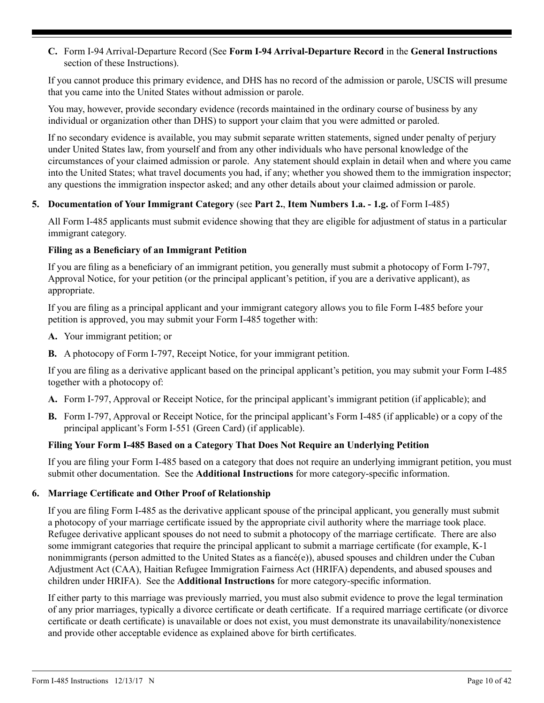**C.** Form I-94 Arrival-Departure Record (See **Form I-94 Arrival-Departure Record** in the **General Instructions** section of these Instructions).

If you cannot produce this primary evidence, and DHS has no record of the admission or parole, USCIS will presume that you came into the United States without admission or parole.

You may, however, provide secondary evidence (records maintained in the ordinary course of business by any individual or organization other than DHS) to support your claim that you were admitted or paroled.

If no secondary evidence is available, you may submit separate written statements, signed under penalty of perjury under United States law, from yourself and from any other individuals who have personal knowledge of the circumstances of your claimed admission or parole. Any statement should explain in detail when and where you came into the United States; what travel documents you had, if any; whether you showed them to the immigration inspector; any questions the immigration inspector asked; and any other details about your claimed admission or parole.

### **5. Documentation of Your Immigrant Category** (see **Part 2.**, **Item Numbers 1.a. - 1.g.** of Form I-485)

All Form I-485 applicants must submit evidence showing that they are eligible for adjustment of status in a particular immigrant category.

### **Filing as a Beneficiary of an Immigrant Petition**

If you are filing as a beneficiary of an immigrant petition, you generally must submit a photocopy of Form I-797, Approval Notice, for your petition (or the principal applicant's petition, if you are a derivative applicant), as appropriate.

If you are filing as a principal applicant and your immigrant category allows you to file Form I-485 before your petition is approved, you may submit your Form I-485 together with:

- **A.** Your immigrant petition; or
- **B.** A photocopy of Form I-797, Receipt Notice, for your immigrant petition.

If you are filing as a derivative applicant based on the principal applicant's petition, you may submit your Form I-485 together with a photocopy of:

- **A.** Form I-797, Approval or Receipt Notice, for the principal applicant's immigrant petition (if applicable); and
- **B.** Form I-797, Approval or Receipt Notice, for the principal applicant's Form I-485 (if applicable) or a copy of the principal applicant's Form I-551 (Green Card) (if applicable).

## **Filing Your Form I-485 Based on a Category That Does Not Require an Underlying Petition**

If you are filing your Form I-485 based on a category that does not require an underlying immigrant petition, you must submit other documentation. See the **Additional Instructions** for more category-specific information.

### **6. Marriage Certificate and Other Proof of Relationship**

If you are filing Form I-485 as the derivative applicant spouse of the principal applicant, you generally must submit a photocopy of your marriage certificate issued by the appropriate civil authority where the marriage took place. Refugee derivative applicant spouses do not need to submit a photocopy of the marriage certificate. There are also some immigrant categories that require the principal applicant to submit a marriage certificate (for example, K-1 nonimmigrants (person admitted to the United States as a fiancé(e)), abused spouses and children under the Cuban Adjustment Act (CAA), Haitian Refugee Immigration Fairness Act (HRIFA) dependents, and abused spouses and children under HRIFA). See the **Additional Instructions** for more category-specific information.

If either party to this marriage was previously married, you must also submit evidence to prove the legal termination of any prior marriages, typically a divorce certificate or death certificate. If a required marriage certificate (or divorce certificate or death certificate) is unavailable or does not exist, you must demonstrate its unavailability/nonexistence and provide other acceptable evidence as explained above for birth certificates.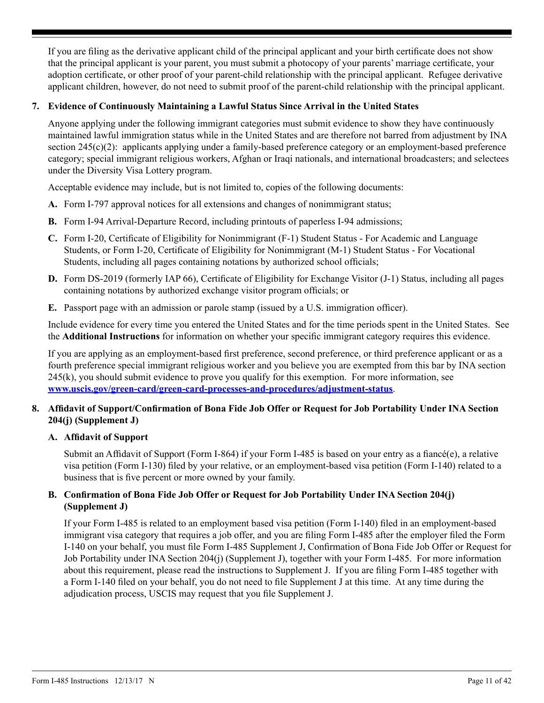If you are filing as the derivative applicant child of the principal applicant and your birth certificate does not show that the principal applicant is your parent, you must submit a photocopy of your parents' marriage certificate, your adoption certificate, or other proof of your parent-child relationship with the principal applicant. Refugee derivative applicant children, however, do not need to submit proof of the parent-child relationship with the principal applicant.

## **7. Evidence of Continuously Maintaining a Lawful Status Since Arrival in the United States**

Anyone applying under the following immigrant categories must submit evidence to show they have continuously maintained lawful immigration status while in the United States and are therefore not barred from adjustment by INA section 245(c)(2): applicants applying under a family-based preference category or an employment-based preference category; special immigrant religious workers, Afghan or Iraqi nationals, and international broadcasters; and selectees under the Diversity Visa Lottery program.

Acceptable evidence may include, but is not limited to, copies of the following documents:

- **A.** Form I-797 approval notices for all extensions and changes of nonimmigrant status;
- **B.** Form I-94 Arrival-Departure Record, including printouts of paperless I-94 admissions;
- **C.** Form I-20, Certificate of Eligibility for Nonimmigrant (F-1) Student Status For Academic and Language Students, or Form I-20, Certificate of Eligibility for Nonimmigrant (M-1) Student Status - For Vocational Students, including all pages containing notations by authorized school officials;
- **D.** Form DS-2019 (formerly IAP 66), Certificate of Eligibility for Exchange Visitor (J-1) Status, including all pages containing notations by authorized exchange visitor program officials; or
- **E.** Passport page with an admission or parole stamp (issued by a U.S. immigration officer).

Include evidence for every time you entered the United States and for the time periods spent in the United States. See the **Additional Instructions** for information on whether your specific immigrant category requires this evidence.

If you are applying as an employment-based first preference, second preference, or third preference applicant or as a fourth preference special immigrant religious worker and you believe you are exempted from this bar by INA section 245(k), you should submit evidence to prove you qualify for this exemption. For more information, see **[www.uscis.gov/green-card/green-card-processes-and-procedures/adjustment-status](http://www.uscis.gov/green-card/green-card-processes-and-procedures/adjustment-status)**.

## **8. Affidavit of Support/Confirmation of Bona Fide Job Offer or Request for Job Portability Under INA Section 204(j) (Supplement J)**

## **A. Affidavit of Support**

Submit an Affidavit of Support (Form I-864) if your Form I-485 is based on your entry as a fiancé(e), a relative visa petition (Form I-130) filed by your relative, or an employment-based visa petition (Form I-140) related to a business that is five percent or more owned by your family.

## **B. Confirmation of Bona Fide Job Offer or Request for Job Portability Under INA Section 204(j) (Supplement J)**

If your Form I-485 is related to an employment based visa petition (Form I-140) filed in an employment-based immigrant visa category that requires a job offer, and you are filing Form I-485 after the employer filed the Form I-140 on your behalf, you must file Form I-485 Supplement J, Confirmation of Bona Fide Job Offer or Request for Job Portability under INA Section 204(j) (Supplement J), together with your Form I-485. For more information about this requirement, please read the instructions to Supplement J. If you are filing Form I-485 together with a Form I-140 filed on your behalf, you do not need to file Supplement J at this time. At any time during the adjudication process, USCIS may request that you file Supplement J.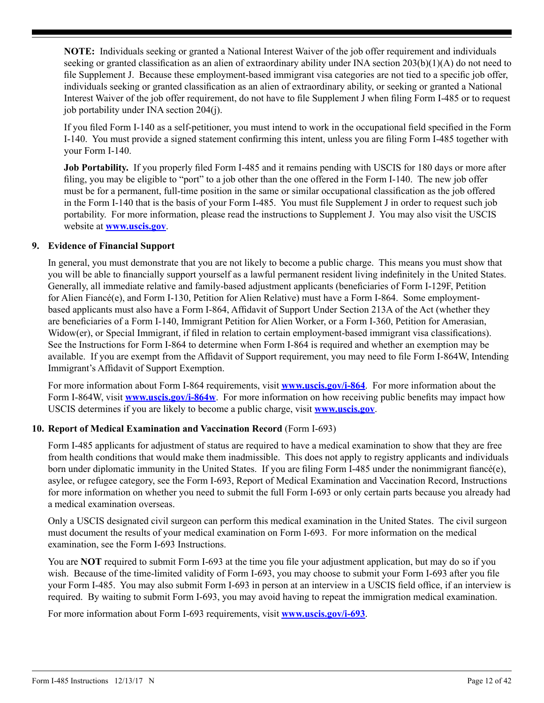**NOTE:** Individuals seeking or granted a National Interest Waiver of the job offer requirement and individuals seeking or granted classification as an alien of extraordinary ability under INA section 203(b)(1)(A) do not need to file Supplement J. Because these employment-based immigrant visa categories are not tied to a specific job offer, individuals seeking or granted classification as an alien of extraordinary ability, or seeking or granted a National Interest Waiver of the job offer requirement, do not have to file Supplement J when filing Form I-485 or to request job portability under INA section 204(j).

If you filed Form I-140 as a self-petitioner, you must intend to work in the occupational field specified in the Form I-140. You must provide a signed statement confirming this intent, unless you are filing Form I-485 together with your Form I-140.

**Job Portability.** If you properly filed Form I-485 and it remains pending with USCIS for 180 days or more after filing, you may be eligible to "port" to a job other than the one offered in the Form I-140. The new job offer must be for a permanent, full-time position in the same or similar occupational classification as the job offered in the Form I-140 that is the basis of your Form I-485. You must file Supplement J in order to request such job portability. For more information, please read the instructions to Supplement J. You may also visit the USCIS website at **www.uscis.gov**.

### **9. Evidence of Financial Support**

In general, you must demonstrate that you are not likely to become a public charge. This means you must show that you will be able to financially support yourself as a lawful permanent resident living indefinitely in the United States. Generally, all immediate relative and family-based adjustment applicants (beneficiaries of Form I-129F, Petition for Alien Fiancé(e), and Form I-130, Petition for Alien Relative) must have a Form I-864. Some employmentbased applicants must also have a Form I-864, Affidavit of Support Under Section 213A of the Act (whether they are beneficiaries of a Form I-140, Immigrant Petition for Alien Worker, or a Form I-360, Petition for Amerasian, Widow(er), or Special Immigrant, if filed in relation to certain employment-based immigrant visa classifications). See the Instructions for Form I-864 to determine when Form I-864 is required and whether an exemption may be available. If you are exempt from the Affidavit of Support requirement, you may need to file Form I-864W, Intending Immigrant's Affidavit of Support Exemption.

For more information about Form I-864 requirements, visit **www.uscis.gov/i-864**. For more information about the Form I-864W, visit **www.uscis.gov/i-864w**. For more information on how receiving public benefits may impact how USCIS determines if you are likely to become a public charge, visit **www.uscis.gov**.

## **10. Report of Medical Examination and Vaccination Record** (Form I-693)

Form I-485 applicants for adjustment of status are required to have a medical examination to show that they are free from health conditions that would make them inadmissible. This does not apply to registry applicants and individuals born under diplomatic immunity in the United States. If you are filing Form I-485 under the nonimmigrant fiancé(e), asylee, or refugee category, see the Form I-693, Report of Medical Examination and Vaccination Record, Instructions for more information on whether you need to submit the full Form I-693 or only certain parts because you already had a medical examination overseas.

Only a USCIS designated civil surgeon can perform this medical examination in the United States. The civil surgeon must document the results of your medical examination on Form I-693. For more information on the medical examination, see the Form I-693 Instructions.

You are **NOT** required to submit Form I-693 at the time you file your adjustment application, but may do so if you wish. Because of the time-limited validity of Form I-693, you may choose to submit your Form I-693 after you file your Form I-485. You may also submit Form I-693 in person at an interview in a USCIS field office, if an interview is required. By waiting to submit Form I-693, you may avoid having to repeat the immigration medical examination.

For more information about Form I-693 requirements, visit **www.uscis.gov/i-693**.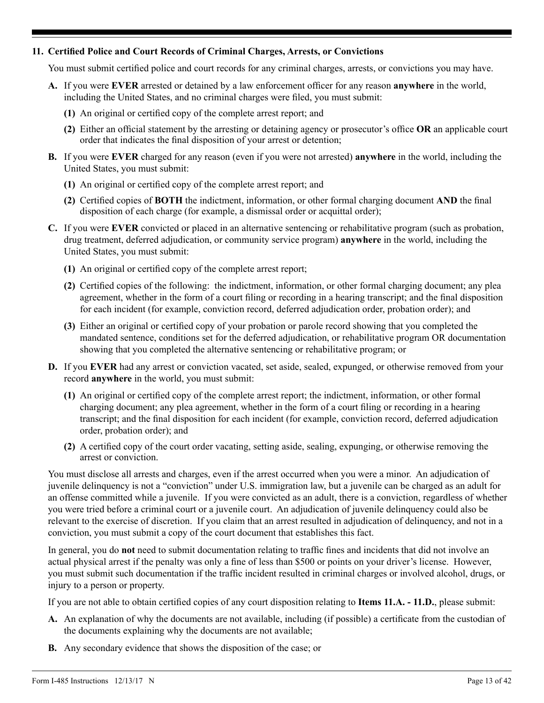### **11. Certified Police and Court Records of Criminal Charges, Arrests, or Convictions**

You must submit certified police and court records for any criminal charges, arrests, or convictions you may have.

- **A.** If you were **EVER** arrested or detained by a law enforcement officer for any reason **anywhere** in the world, including the United States, and no criminal charges were filed, you must submit:
	- **(1)** An original or certified copy of the complete arrest report; and
	- **(2)** Either an official statement by the arresting or detaining agency or prosecutor's office **OR** an applicable court order that indicates the final disposition of your arrest or detention;
- **B.** If you were **EVER** charged for any reason (even if you were not arrested) **anywhere** in the world, including the United States, you must submit:
	- **(1)** An original or certified copy of the complete arrest report; and
	- **(2)** Certified copies of **BOTH** the indictment, information, or other formal charging document **AND** the final disposition of each charge (for example, a dismissal order or acquittal order);
- **C.** If you were **EVER** convicted or placed in an alternative sentencing or rehabilitative program (such as probation, drug treatment, deferred adjudication, or community service program) **anywhere** in the world, including the United States, you must submit:
	- **(1)** An original or certified copy of the complete arrest report;
	- **(2)** Certified copies of the following: the indictment, information, or other formal charging document; any plea agreement, whether in the form of a court filing or recording in a hearing transcript; and the final disposition for each incident (for example, conviction record, deferred adjudication order, probation order); and
	- **(3)** Either an original or certified copy of your probation or parole record showing that you completed the mandated sentence, conditions set for the deferred adjudication, or rehabilitative program OR documentation showing that you completed the alternative sentencing or rehabilitative program; or
- **D.** If you **EVER** had any arrest or conviction vacated, set aside, sealed, expunged, or otherwise removed from your record **anywhere** in the world, you must submit:
	- **(1)** An original or certified copy of the complete arrest report; the indictment, information, or other formal charging document; any plea agreement, whether in the form of a court filing or recording in a hearing transcript; and the final disposition for each incident (for example, conviction record, deferred adjudication order, probation order); and
	- **(2)** A certified copy of the court order vacating, setting aside, sealing, expunging, or otherwise removing the arrest or conviction.

You must disclose all arrests and charges, even if the arrest occurred when you were a minor. An adjudication of juvenile delinquency is not a "conviction" under U.S. immigration law, but a juvenile can be charged as an adult for an offense committed while a juvenile. If you were convicted as an adult, there is a conviction, regardless of whether you were tried before a criminal court or a juvenile court. An adjudication of juvenile delinquency could also be relevant to the exercise of discretion. If you claim that an arrest resulted in adjudication of delinquency, and not in a conviction, you must submit a copy of the court document that establishes this fact.

In general, you do **not** need to submit documentation relating to traffic fines and incidents that did not involve an actual physical arrest if the penalty was only a fine of less than \$500 or points on your driver's license. However, you must submit such documentation if the traffic incident resulted in criminal charges or involved alcohol, drugs, or injury to a person or property.

If you are not able to obtain certified copies of any court disposition relating to **Items 11.A. - 11.D.**, please submit:

- **A.** An explanation of why the documents are not available, including (if possible) a certificate from the custodian of the documents explaining why the documents are not available;
- **B.** Any secondary evidence that shows the disposition of the case; or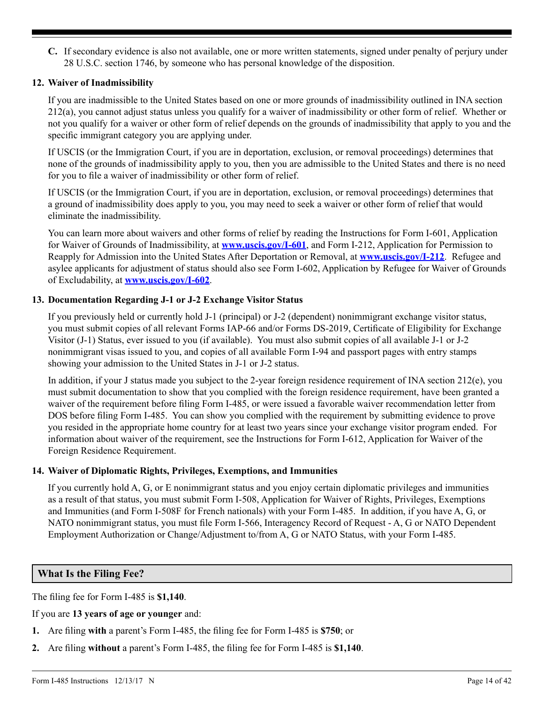**C.** If secondary evidence is also not available, one or more written statements, signed under penalty of perjury under 28 U.S.C. section 1746, by someone who has personal knowledge of the disposition.

## **12. Waiver of Inadmissibility**

If you are inadmissible to the United States based on one or more grounds of inadmissibility outlined in INA section 212(a), you cannot adjust status unless you qualify for a waiver of inadmissibility or other form of relief. Whether or not you qualify for a waiver or other form of relief depends on the grounds of inadmissibility that apply to you and the specific immigrant category you are applying under.

If USCIS (or the Immigration Court, if you are in deportation, exclusion, or removal proceedings) determines that none of the grounds of inadmissibility apply to you, then you are admissible to the United States and there is no need for you to file a waiver of inadmissibility or other form of relief.

If USCIS (or the Immigration Court, if you are in deportation, exclusion, or removal proceedings) determines that a ground of inadmissibility does apply to you, you may need to seek a waiver or other form of relief that would eliminate the inadmissibility.

You can learn more about waivers and other forms of relief by reading the Instructions for Form I-601, Application for Waiver of Grounds of Inadmissibility, at **www.uscis.gov/I-601**, and Form I-212, Application for Permission to Reapply for Admission into the United States After Deportation or Removal, at **www.uscis.gov/I-212**. Refugee and asylee applicants for adjustment of status should also see Form I-602, Application by Refugee for Waiver of Grounds of Excludability, at **www.uscis.gov/I-602**.

## **13. Documentation Regarding J-1 or J-2 Exchange Visitor Status**

If you previously held or currently hold J-1 (principal) or J-2 (dependent) nonimmigrant exchange visitor status, you must submit copies of all relevant Forms IAP-66 and/or Forms DS-2019, Certificate of Eligibility for Exchange Visitor (J-1) Status, ever issued to you (if available). You must also submit copies of all available J-1 or J-2 nonimmigrant visas issued to you, and copies of all available Form I-94 and passport pages with entry stamps showing your admission to the United States in J-1 or J-2 status.

In addition, if your J status made you subject to the 2-year foreign residence requirement of INA section 212(e), you must submit documentation to show that you complied with the foreign residence requirement, have been granted a waiver of the requirement before filing Form I-485, or were issued a favorable waiver recommendation letter from DOS before filing Form I-485. You can show you complied with the requirement by submitting evidence to prove you resided in the appropriate home country for at least two years since your exchange visitor program ended. For information about waiver of the requirement, see the Instructions for Form I-612, Application for Waiver of the Foreign Residence Requirement.

## **14. Waiver of Diplomatic Rights, Privileges, Exemptions, and Immunities**

If you currently hold A, G, or E nonimmigrant status and you enjoy certain diplomatic privileges and immunities as a result of that status, you must submit Form I-508, Application for Waiver of Rights, Privileges, Exemptions and Immunities (and Form I-508F for French nationals) with your Form I-485. In addition, if you have A, G, or NATO nonimmigrant status, you must file Form I-566, Interagency Record of Request - A, G or NATO Dependent Employment Authorization or Change/Adjustment to/from A, G or NATO Status, with your Form I-485.

## **What Is the Filing Fee?**

The filing fee for Form I-485 is **\$1,140**.

If you are **13 years of age or younger** and:

- **1.** Are filing **with** a parent's Form I-485, the filing fee for Form I-485 is **\$750**; or
- **2.** Are filing **without** a parent's Form I-485, the filing fee for Form I-485 is **\$1,140**.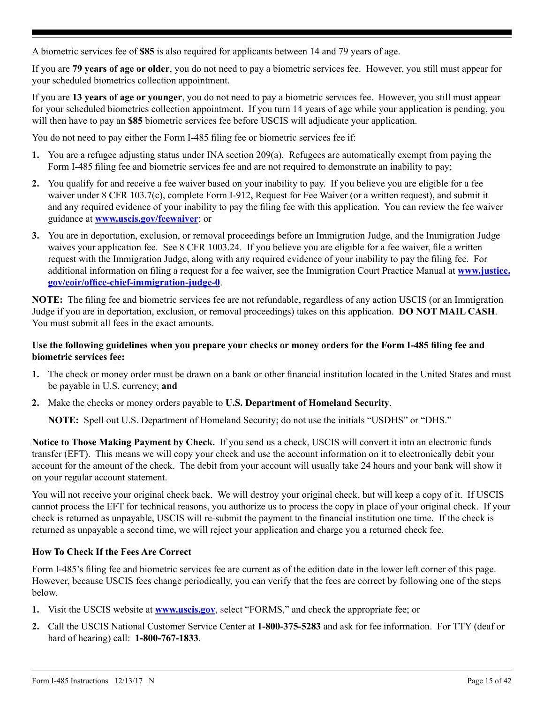<span id="page-14-0"></span>A biometric services fee of **\$85** is also required for applicants between 14 and 79 years of age.

If you are **79 years of age or older**, you do not need to pay a biometric services fee. However, you still must appear for your scheduled biometrics collection appointment.

If you are **13 years of age or younger**, you do not need to pay a biometric services fee. However, you still must appear for your scheduled biometrics collection appointment. If you turn 14 years of age while your application is pending, you will then have to pay an **\$85** biometric services fee before USCIS will adjudicate your application.

You do not need to pay either the Form I-485 filing fee or biometric services fee if:

- **1.** You are a refugee adjusting status under INA section 209(a). Refugees are automatically exempt from paying the Form I-485 filing fee and biometric services fee and are not required to demonstrate an inability to pay;
- **2.** You qualify for and receive a fee waiver based on your inability to pay. If you believe you are eligible for a fee waiver under 8 CFR 103.7(c), complete Form I-912, Request for Fee Waiver (or a written request), and submit it and any required evidence of your inability to pay the filing fee with this application. You can review the fee waiver guidance at **www.uscis.gov/feewaiver**; or
- **3.** You are in deportation, exclusion, or removal proceedings before an Immigration Judge, and the Immigration Judge waives your application fee. See 8 CFR 1003.24. If you believe you are eligible for a fee waiver, file a written request with the Immigration Judge, along with any required evidence of your inability to pay the filing fee. For additional information on filing a request for a fee waiver, see the Immigration Court Practice Manual at **[www.justice.](http://www.justice.gov/eoir/office-chief-immigration-judge-0) [gov/eoir/office-chief-immigration-judge-0](http://www.justice.gov/eoir/office-chief-immigration-judge-0)**.

**NOTE:** The filing fee and biometric services fee are not refundable, regardless of any action USCIS (or an Immigration Judge if you are in deportation, exclusion, or removal proceedings) takes on this application. **DO NOT MAIL CASH**. You must submit all fees in the exact amounts.

### **Use the following guidelines when you prepare your checks or money orders for the Form I-485 filing fee and biometric services fee:**

- **1.** The check or money order must be drawn on a bank or other financial institution located in the United States and must be payable in U.S. currency; **and**
- **2.** Make the checks or money orders payable to **U.S. Department of Homeland Security**.

**NOTE:** Spell out U.S. Department of Homeland Security; do not use the initials "USDHS" or "DHS."

**Notice to Those Making Payment by Check.** If you send us a check, USCIS will convert it into an electronic funds transfer (EFT). This means we will copy your check and use the account information on it to electronically debit your account for the amount of the check. The debit from your account will usually take 24 hours and your bank will show it on your regular account statement.

You will not receive your original check back. We will destroy your original check, but will keep a copy of it. If USCIS cannot process the EFT for technical reasons, you authorize us to process the copy in place of your original check. If your check is returned as unpayable, USCIS will re-submit the payment to the financial institution one time. If the check is returned as unpayable a second time, we will reject your application and charge you a returned check fee.

## **How To Check If the Fees Are Correct**

Form I-485's filing fee and biometric services fee are current as of the edition date in the lower left corner of this page. However, because USCIS fees change periodically, you can verify that the fees are correct by following one of the steps below.

- **1.** Visit the USCIS website at **www.uscis.gov**, select "FORMS," and check the appropriate fee; or
- **2.** Call the USCIS National Customer Service Center at **1-800-375-5283** and ask for fee information. For TTY (deaf or hard of hearing) call: **1-800-767-1833**.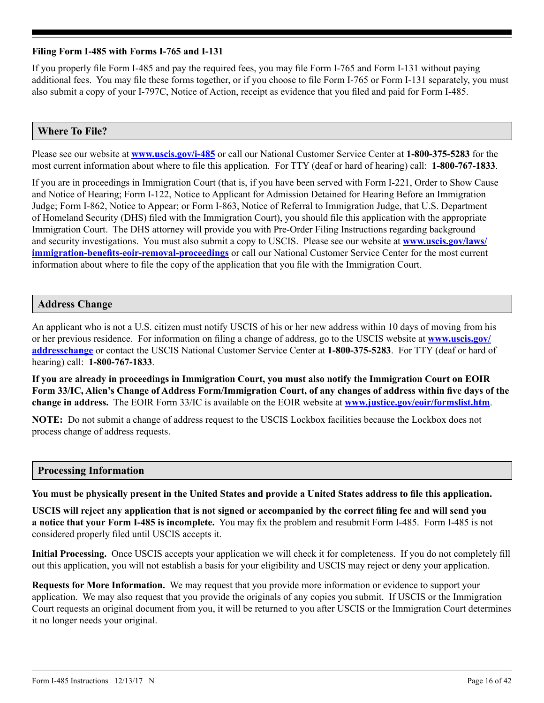### <span id="page-15-0"></span>**Filing Form I-485 with Forms I-765 and I-131**

If you properly file Form I-485 and pay the required fees, you may file Form I-765 and Form I-131 without paying additional fees. You may file these forms together, or if you choose to file Form I-765 or Form I-131 separately, you must also submit a copy of your I-797C, Notice of Action, receipt as evidence that you filed and paid for Form I-485.

## **Where To File?**

Please see our website at **www.uscis.gov/i-485** or call our National Customer Service Center at **1-800-375-5283** for the most current information about where to file this application. For TTY (deaf or hard of hearing) call: **1-800-767-1833**.

If you are in proceedings in Immigration Court (that is, if you have been served with Form I-221, Order to Show Cause and Notice of Hearing; Form I-122, Notice to Applicant for Admission Detained for Hearing Before an Immigration Judge; Form I-862, Notice to Appear; or Form I-863, Notice of Referral to Immigration Judge, that U.S. Department of Homeland Security (DHS) filed with the Immigration Court), you should file this application with the appropriate Immigration Court. The DHS attorney will provide you with Pre-Order Filing Instructions regarding background and security investigations. You must also submit a copy to USCIS. Please see our website at **[www.uscis.gov/laws/](http://www.uscis.gov/laws/immigration-benefits-eoir-removal-proceedings) [immigration-benefits-eoir-removal-proceedings](http://www.uscis.gov/laws/immigration-benefits-eoir-removal-proceedings)** or call our National Customer Service Center for the most current information about where to file the copy of the application that you file with the Immigration Court.

## **Address Change**

An applicant who is not a U.S. citizen must notify USCIS of his or her new address within 10 days of moving from his or her previous residence. For information on filing a change of address, go to the USCIS website at **[www.uscis.gov/](http://www.uscis.gov/addresschange ) [addresschange](http://www.uscis.gov/addresschange )** or contact the USCIS National Customer Service Center at **1-800-375-5283**. For TTY (deaf or hard of hearing) call: **1-800-767-1833**.

**If you are already in proceedings in Immigration Court, you must also notify the Immigration Court on EOIR Form 33/IC, Alien's Change of Address Form/Immigration Court, of any changes of address within five days of the change in address.** The EOIR Form 33/IC is available on the EOIR website at **www.justice.gov/eoir/formslist.htm**.

**NOTE:** Do not submit a change of address request to the USCIS Lockbox facilities because the Lockbox does not process change of address requests.

## **Processing Information**

**You must be physically present in the United States and provide a United States address to file this application.**

**USCIS will reject any application that is not signed or accompanied by the correct filing fee and will send you a notice that your Form I-485 is incomplete.** You may fix the problem and resubmit Form I-485. Form I-485 is not considered properly filed until USCIS accepts it.

**Initial Processing.** Once USCIS accepts your application we will check it for completeness. If you do not completely fill out this application, you will not establish a basis for your eligibility and USCIS may reject or deny your application.

**Requests for More Information.** We may request that you provide more information or evidence to support your application. We may also request that you provide the originals of any copies you submit. If USCIS or the Immigration Court requests an original document from you, it will be returned to you after USCIS or the Immigration Court determines it no longer needs your original.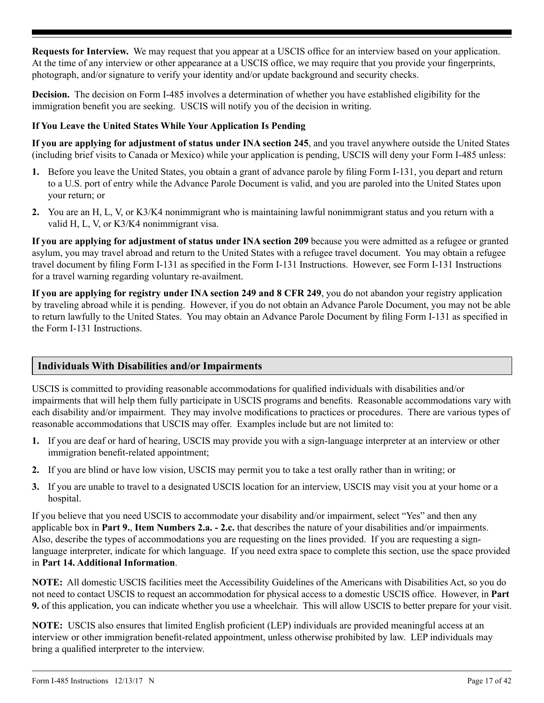<span id="page-16-0"></span>**Requests for Interview.** We may request that you appear at a USCIS office for an interview based on your application. At the time of any interview or other appearance at a USCIS office, we may require that you provide your fingerprints, photograph, and/or signature to verify your identity and/or update background and security checks.

**Decision.** The decision on Form I-485 involves a determination of whether you have established eligibility for the immigration benefit you are seeking. USCIS will notify you of the decision in writing.

## **If You Leave the United States While Your Application Is Pending**

**If you are applying for adjustment of status under INA section 245**, and you travel anywhere outside the United States (including brief visits to Canada or Mexico) while your application is pending, USCIS will deny your Form I-485 unless:

- **1.** Before you leave the United States, you obtain a grant of advance parole by filing Form I-131, you depart and return to a U.S. port of entry while the Advance Parole Document is valid, and you are paroled into the United States upon your return; or
- **2.** You are an H, L, V, or K3/K4 nonimmigrant who is maintaining lawful nonimmigrant status and you return with a valid H, L, V, or K3/K4 nonimmigrant visa.

**If you are applying for adjustment of status under INA section 209** because you were admitted as a refugee or granted asylum, you may travel abroad and return to the United States with a refugee travel document. You may obtain a refugee travel document by filing Form I-131 as specified in the Form I-131 Instructions. However, see Form I-131 Instructions for a travel warning regarding voluntary re-availment.

**If you are applying for registry under INA section 249 and 8 CFR 249**, you do not abandon your registry application by traveling abroad while it is pending. However, if you do not obtain an Advance Parole Document, you may not be able to return lawfully to the United States. You may obtain an Advance Parole Document by filing Form I-131 as specified in the Form I-131 Instructions.

## **Individuals With Disabilities and/or Impairments**

USCIS is committed to providing reasonable accommodations for qualified individuals with disabilities and/or impairments that will help them fully participate in USCIS programs and benefits. Reasonable accommodations vary with each disability and/or impairment. They may involve modifications to practices or procedures. There are various types of reasonable accommodations that USCIS may offer. Examples include but are not limited to:

- **1.** If you are deaf or hard of hearing, USCIS may provide you with a sign-language interpreter at an interview or other immigration benefit-related appointment;
- **2.** If you are blind or have low vision, USCIS may permit you to take a test orally rather than in writing; or
- **3.** If you are unable to travel to a designated USCIS location for an interview, USCIS may visit you at your home or a hospital.

If you believe that you need USCIS to accommodate your disability and/or impairment, select "Yes" and then any applicable box in **Part 9.**, **Item Numbers 2.a. - 2.c.** that describes the nature of your disabilities and/or impairments. Also, describe the types of accommodations you are requesting on the lines provided. If you are requesting a signlanguage interpreter, indicate for which language. If you need extra space to complete this section, use the space provided in **Part 14. Additional Information**.

**NOTE:** All domestic USCIS facilities meet the Accessibility Guidelines of the Americans with Disabilities Act, so you do not need to contact USCIS to request an accommodation for physical access to a domestic USCIS office. However, in **Part 9.** of this application, you can indicate whether you use a wheelchair. This will allow USCIS to better prepare for your visit.

**NOTE:** USCIS also ensures that limited English proficient (LEP) individuals are provided meaningful access at an interview or other immigration benefit-related appointment, unless otherwise prohibited by law. LEP individuals may bring a qualified interpreter to the interview.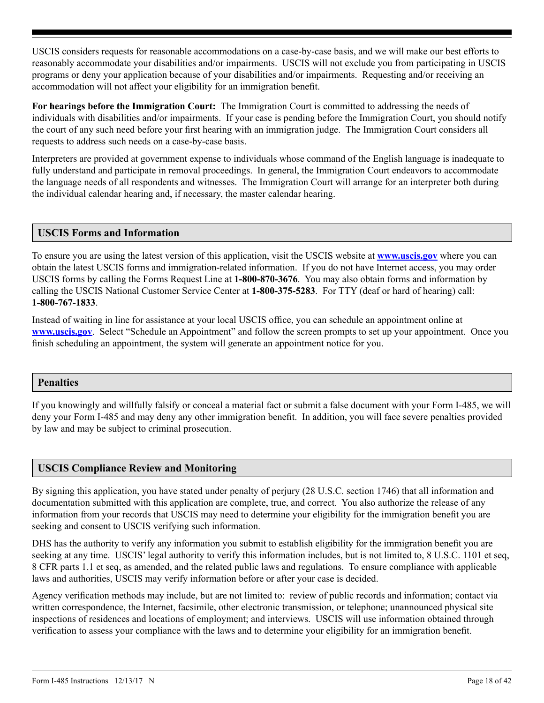<span id="page-17-0"></span>USCIS considers requests for reasonable accommodations on a case-by-case basis, and we will make our best efforts to reasonably accommodate your disabilities and/or impairments. USCIS will not exclude you from participating in USCIS programs or deny your application because of your disabilities and/or impairments. Requesting and/or receiving an accommodation will not affect your eligibility for an immigration benefit.

**For hearings before the Immigration Court:** The Immigration Court is committed to addressing the needs of individuals with disabilities and/or impairments. If your case is pending before the Immigration Court, you should notify the court of any such need before your first hearing with an immigration judge. The Immigration Court considers all requests to address such needs on a case-by-case basis.

Interpreters are provided at government expense to individuals whose command of the English language is inadequate to fully understand and participate in removal proceedings. In general, the Immigration Court endeavors to accommodate the language needs of all respondents and witnesses. The Immigration Court will arrange for an interpreter both during the individual calendar hearing and, if necessary, the master calendar hearing.

## **USCIS Forms and Information**

To ensure you are using the latest version of this application, visit the USCIS website at **www.uscis.gov** where you can obtain the latest USCIS forms and immigration-related information. If you do not have Internet access, you may order USCIS forms by calling the Forms Request Line at **1-800-870-3676**. You may also obtain forms and information by calling the USCIS National Customer Service Center at **1-800-375-5283**. For TTY (deaf or hard of hearing) call: **1-800-767-1833**.

Instead of waiting in line for assistance at your local USCIS office, you can schedule an appointment online at **www.uscis.gov**. Select "Schedule an Appointment" and follow the screen prompts to set up your appointment. Once you finish scheduling an appointment, the system will generate an appointment notice for you.

## **Penalties**

If you knowingly and willfully falsify or conceal a material fact or submit a false document with your Form I-485, we will deny your Form I-485 and may deny any other immigration benefit. In addition, you will face severe penalties provided by law and may be subject to criminal prosecution.

## **USCIS Compliance Review and Monitoring**

By signing this application, you have stated under penalty of perjury (28 U.S.C. section 1746) that all information and documentation submitted with this application are complete, true, and correct. You also authorize the release of any information from your records that USCIS may need to determine your eligibility for the immigration benefit you are seeking and consent to USCIS verifying such information.

DHS has the authority to verify any information you submit to establish eligibility for the immigration benefit you are seeking at any time. USCIS' legal authority to verify this information includes, but is not limited to, 8 U.S.C. 1101 et seq, 8 CFR parts 1.1 et seq, as amended, and the related public laws and regulations. To ensure compliance with applicable laws and authorities, USCIS may verify information before or after your case is decided.

Agency verification methods may include, but are not limited to: review of public records and information; contact via written correspondence, the Internet, facsimile, other electronic transmission, or telephone; unannounced physical site inspections of residences and locations of employment; and interviews. USCIS will use information obtained through verification to assess your compliance with the laws and to determine your eligibility for an immigration benefit.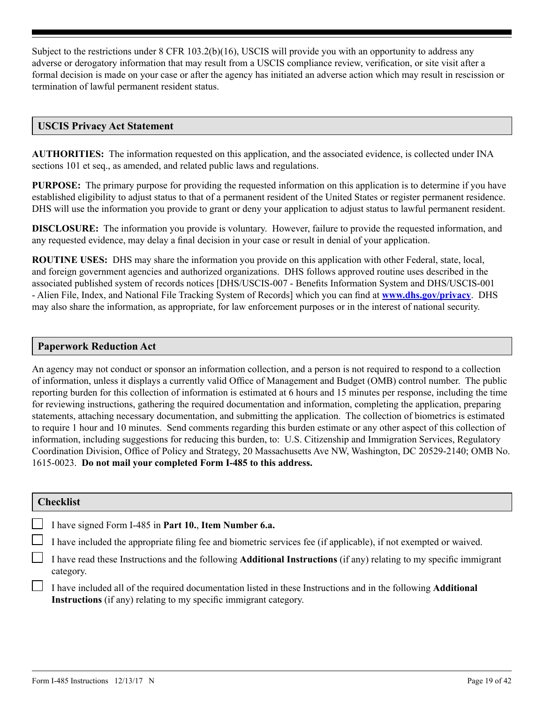<span id="page-18-0"></span>Subject to the restrictions under 8 CFR 103.2(b)(16), USCIS will provide you with an opportunity to address any adverse or derogatory information that may result from a USCIS compliance review, verification, or site visit after a formal decision is made on your case or after the agency has initiated an adverse action which may result in rescission or termination of lawful permanent resident status.

### **USCIS Privacy Act Statement**

**AUTHORITIES:** The information requested on this application, and the associated evidence, is collected under INA sections 101 et seq., as amended, and related public laws and regulations.

**PURPOSE:** The primary purpose for providing the requested information on this application is to determine if you have established eligibility to adjust status to that of a permanent resident of the United States or register permanent residence. DHS will use the information you provide to grant or deny your application to adjust status to lawful permanent resident.

**DISCLOSURE:** The information you provide is voluntary. However, failure to provide the requested information, and any requested evidence, may delay a final decision in your case or result in denial of your application.

**ROUTINE USES:** DHS may share the information you provide on this application with other Federal, state, local, and foreign government agencies and authorized organizations. DHS follows approved routine uses described in the associated published system of records notices [DHS/USCIS-007 - Benefits Information System and DHS/USCIS-001 - Alien File, Index, and National File Tracking System of Records] which you can find at **www.dhs.gov/privacy**. DHS may also share the information, as appropriate, for law enforcement purposes or in the interest of national security.

### **Paperwork Reduction Act**

An agency may not conduct or sponsor an information collection, and a person is not required to respond to a collection of information, unless it displays a currently valid Office of Management and Budget (OMB) control number. The public reporting burden for this collection of information is estimated at 6 hours and 15 minutes per response, including the time for reviewing instructions, gathering the required documentation and information, completing the application, preparing statements, attaching necessary documentation, and submitting the application. The collection of biometrics is estimated to require 1 hour and 10 minutes. Send comments regarding this burden estimate or any other aspect of this collection of information, including suggestions for reducing this burden, to: U.S. Citizenship and Immigration Services, Regulatory Coordination Division, Office of Policy and Strategy, 20 Massachusetts Ave NW, Washington, DC 20529-2140; OMB No. 1615-0023. **Do not mail your completed Form I-485 to this address.**

#### **Checklist**

I have signed Form I-485 in **Part 10.**, **Item Number 6.a.**

I have included the appropriate filing fee and biometric services fee (if applicable), if not exempted or waived.

I have read these Instructions and the following **Additional Instructions** (if any) relating to my specific immigrant category.

I have included all of the required documentation listed in these Instructions and in the following **Additional Instructions** (if any) relating to my specific immigrant category.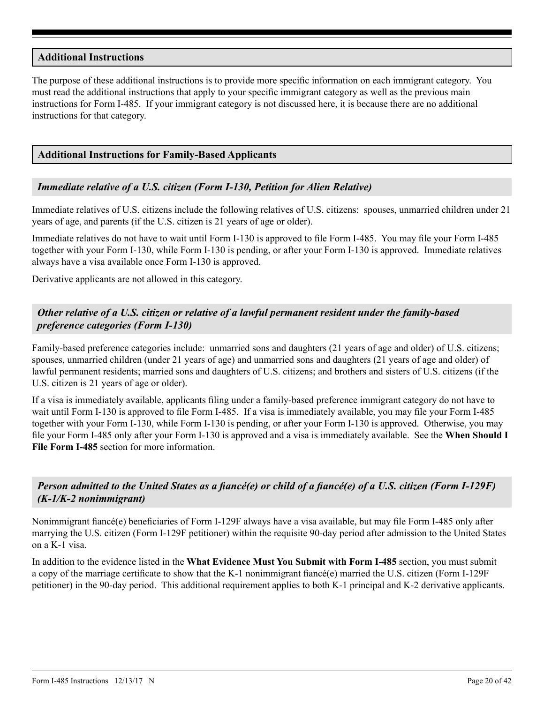### <span id="page-19-0"></span>**Additional Instructions**

The purpose of these additional instructions is to provide more specific information on each immigrant category. You must read the additional instructions that apply to your specific immigrant category as well as the previous main instructions for Form I-485. If your immigrant category is not discussed here, it is because there are no additional instructions for that category.

### **Additional Instructions for Family-Based Applicants**

### *Immediate relative of a U.S. citizen (Form I-130, Petition for Alien Relative)*

Immediate relatives of U.S. citizens include the following relatives of U.S. citizens: spouses, unmarried children under 21 years of age, and parents (if the U.S. citizen is 21 years of age or older).

Immediate relatives do not have to wait until Form I-130 is approved to file Form I-485. You may file your Form I-485 together with your Form I-130, while Form I-130 is pending, or after your Form I-130 is approved. Immediate relatives always have a visa available once Form I-130 is approved.

Derivative applicants are not allowed in this category.

## *Other relative of a U.S. citizen or relative of a lawful permanent resident under the family-based preference categories (Form I-130)*

Family-based preference categories include: unmarried sons and daughters (21 years of age and older) of U.S. citizens; spouses, unmarried children (under 21 years of age) and unmarried sons and daughters (21 years of age and older) of lawful permanent residents; married sons and daughters of U.S. citizens; and brothers and sisters of U.S. citizens (if the U.S. citizen is 21 years of age or older).

If a visa is immediately available, applicants filing under a family-based preference immigrant category do not have to wait until Form I-130 is approved to file Form I-485. If a visa is immediately available, you may file your Form I-485 together with your Form I-130, while Form I-130 is pending, or after your Form I-130 is approved. Otherwise, you may file your Form I-485 only after your Form I-130 is approved and a visa is immediately available. See the **When Should I File Form I-485** section for more information.

## *Person admitted to the United States as a fiancé(e) or child of a fiancé(e) of a U.S. citizen (Form I-129F) (K-1/K-2 nonimmigrant)*

Nonimmigrant fiancé(e) beneficiaries of Form I-129F always have a visa available, but may file Form I-485 only after marrying the U.S. citizen (Form I-129F petitioner) within the requisite 90-day period after admission to the United States on a K-1 visa.

In addition to the evidence listed in the **What Evidence Must You Submit with Form I-485** section, you must submit a copy of the marriage certificate to show that the K-1 nonimmigrant fiancé(e) married the U.S. citizen (Form I-129F petitioner) in the 90-day period. This additional requirement applies to both K-1 principal and K-2 derivative applicants.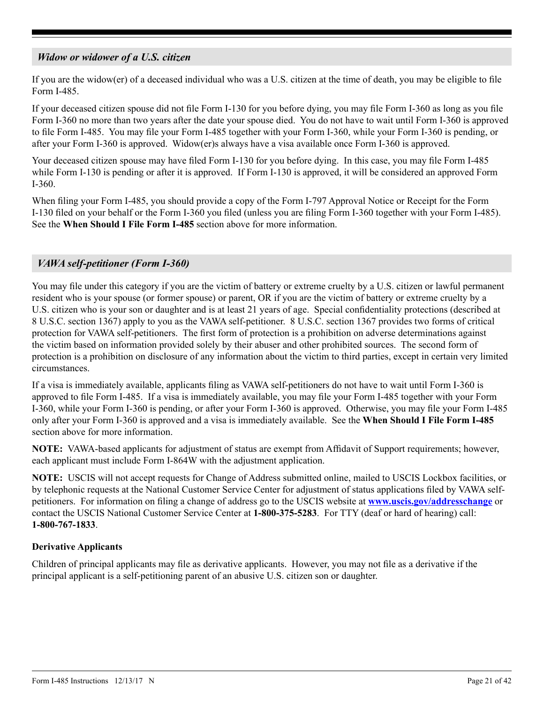## <span id="page-20-0"></span>*Widow or widower of a U.S. citizen*

If you are the widow(er) of a deceased individual who was a U.S. citizen at the time of death, you may be eligible to file Form I-485.

If your deceased citizen spouse did not file Form I-130 for you before dying, you may file Form I-360 as long as you file Form I-360 no more than two years after the date your spouse died. You do not have to wait until Form I-360 is approved to file Form I-485. You may file your Form I-485 together with your Form I-360, while your Form I-360 is pending, or after your Form I-360 is approved. Widow(er)s always have a visa available once Form I-360 is approved.

Your deceased citizen spouse may have filed Form I-130 for you before dying. In this case, you may file Form I-485 while Form I-130 is pending or after it is approved. If Form I-130 is approved, it will be considered an approved Form I-360.

When filing your Form I-485, you should provide a copy of the Form I-797 Approval Notice or Receipt for the Form I-130 filed on your behalf or the Form I-360 you filed (unless you are filing Form I-360 together with your Form I-485). See the **When Should I File Form I-485** section above for more information.

## *VAWA self-petitioner (Form I-360)*

You may file under this category if you are the victim of battery or extreme cruelty by a U.S. citizen or lawful permanent resident who is your spouse (or former spouse) or parent, OR if you are the victim of battery or extreme cruelty by a U.S. citizen who is your son or daughter and is at least 21 years of age. Special confidentiality protections (described at 8 U.S.C. section 1367) apply to you as the VAWA self-petitioner. 8 U.S.C. section 1367 provides two forms of critical protection for VAWA self-petitioners. The first form of protection is a prohibition on adverse determinations against the victim based on information provided solely by their abuser and other prohibited sources. The second form of protection is a prohibition on disclosure of any information about the victim to third parties, except in certain very limited circumstances.

If a visa is immediately available, applicants filing as VAWA self-petitioners do not have to wait until Form I-360 is approved to file Form I-485. If a visa is immediately available, you may file your Form I-485 together with your Form I-360, while your Form I-360 is pending, or after your Form I-360 is approved. Otherwise, you may file your Form I-485 only after your Form I-360 is approved and a visa is immediately available. See the **When Should I File Form I-485**  section above for more information.

**NOTE:** VAWA-based applicants for adjustment of status are exempt from Affidavit of Support requirements; however, each applicant must include Form I-864W with the adjustment application.

**NOTE:** USCIS will not accept requests for Change of Address submitted online, mailed to USCIS Lockbox facilities, or by telephonic requests at the National Customer Service Center for adjustment of status applications filed by VAWA selfpetitioners. For information on filing a change of address go to the USCIS website at **www.uscis.gov/addresschange** or contact the USCIS National Customer Service Center at **1-800-375-5283**. For TTY (deaf or hard of hearing) call: **1-800-767-1833**.

## **Derivative Applicants**

Children of principal applicants may file as derivative applicants. However, you may not file as a derivative if the principal applicant is a self-petitioning parent of an abusive U.S. citizen son or daughter.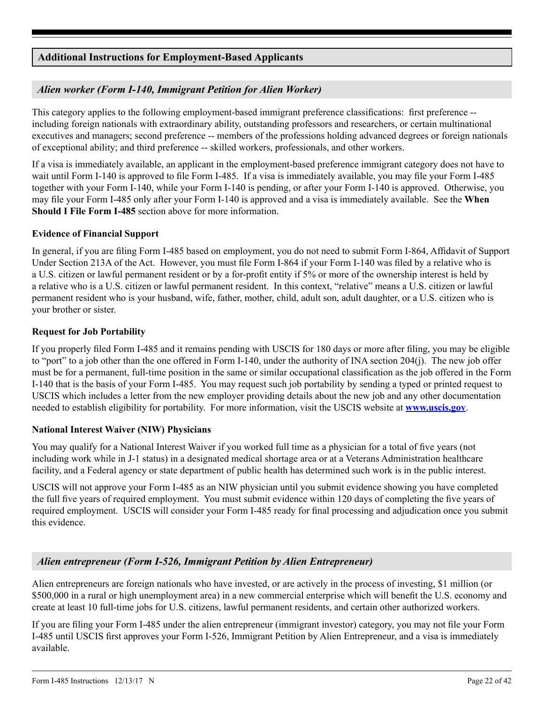## **Additional Instructions for Employment-Based Applicants**

## *Alien worker (Form I-140, Immigrant Petition for Alien Worker)*

This category applies to the following employment-based immigrant preference classifications: first preference - including foreign nationals with extraordinary ability, outstanding professors and researchers, or certain multinational executives and managers; second preference -- members of the professions holding advanced degrees or foreign nationals of exceptional ability; and third preference -- skilled workers, professionals, and other workers.

If a visa is immediately available, an applicant in the employment-based preference immigrant category does not have to wait until Form I-140 is approved to file Form I-485. If a visa is immediately available, you may file your Form I-485 together with your Form I-140, while your Form I-140 is pending, or after your Form I-140 is approved. Otherwise, you may file your Form I-485 only after your Form I-140 is approved and a visa is immediately available. See the **When Should I File Form I-485** section above for more information.

### **Evidence of Financial Support**

In general, if you are filing Form I-485 based on employment, you do not need to submit Form I-864, Affidavit of Support Under Section 213A of the Act. However, you must file Form I-864 if your Form I-140 was filed by a relative who is a U.S. citizen or lawful permanent resident or by a for-profit entity if 5% or more of the ownership interest is held by a relative who is a U.S. citizen or lawful permanent resident. In this context, "relative" means a U.S. citizen or lawful permanent resident who is your husband, wife, father, mother, child, adult son, adult daughter, or a U.S. citizen who is your brother or sister.

### **Request for Job Portability**

If you properly filed Form I-485 and it remains pending with USCIS for 180 days or more after filing, you may be eligible to "port" to a job other than the one offered in Form I-140, under the authority of INA section 204(j). The new job offer must be for a permanent, full-time position in the same or similar occupational classification as the job offered in the Form I-140 that is the basis of your Form I-485. You may request such job portability by sending a typed or printed request to USCIS which includes a letter from the new employer providing details about the new job and any other documentation needed to establish eligibility for portability. For more information, visit the USCIS website at **www.uscis.gov**.

### **National Interest Waiver (NIW) Physicians**

You may qualify for a National Interest Waiver if you worked full time as a physician for a total of five years (not including work while in J-1 status) in a designated medical shortage area or at a Veterans Administration healthcare facility, and a Federal agency or state department of public health has determined such work is in the public interest.

USCIS will not approve your Form I-485 as an NIW physician until you submit evidence showing you have completed the full five years of required employment. You must submit evidence within 120 days of completing the five years of required employment. USCIS will consider your Form I-485 ready for final processing and adjudication once you submit this evidence.

## *Alien entrepreneur (Form I-526, Immigrant Petition by Alien Entrepreneur)*

Alien entrepreneurs are foreign nationals who have invested, or are actively in the process of investing, \$1 million (or \$500,000 in a rural or high unemployment area) in a new commercial enterprise which will benefit the U.S. economy and create at least 10 full-time jobs for U.S. citizens, lawful permanent residents, and certain other authorized workers.

If you are filing your Form I-485 under the alien entrepreneur (immigrant investor) category, you may not file your Form I-485 until USCIS first approves your Form I-526, Immigrant Petition by Alien Entrepreneur, and a visa is immediately available.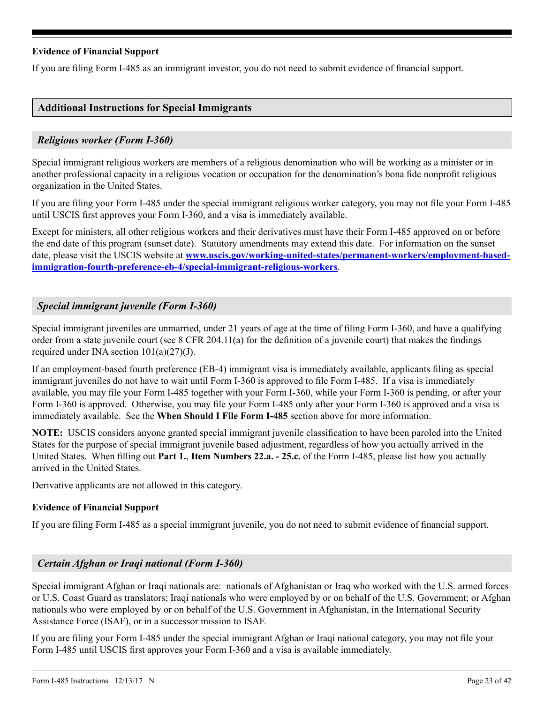## <span id="page-22-0"></span>**Evidence of Financial Support**

If you are filing Form I-485 as an immigrant investor, you do not need to submit evidence of financial support.

## **Additional Instructions for Special Immigrants**

### *Religious worker (Form I-360)*

Special immigrant religious workers are members of a religious denomination who will be working as a minister or in another professional capacity in a religious vocation or occupation for the denomination's bona fide nonprofit religious organization in the United States.

If you are filing your Form I-485 under the special immigrant religious worker category, you may not file your Form I-485 until USCIS first approves your Form I-360, and a visa is immediately available.

Except for ministers, all other religious workers and their derivatives must have their Form I-485 approved on or before the end date of this program (sunset date). Statutory amendments may extend this date. For information on the sunset date, please visit the USCIS website at **[www.uscis.gov/working-united-states/permanent-workers/employment-based](http://www.uscis.gov/working-united-states/permanent-workers/employment-based-immigration-fourth-preference-eb-4/special-immigrant-religious-workers)[immigration-fourth-preference-eb-4/special-immigrant-religious-workers](http://www.uscis.gov/working-united-states/permanent-workers/employment-based-immigration-fourth-preference-eb-4/special-immigrant-religious-workers)**.

## *Special immigrant juvenile (Form I-360)*

Special immigrant juveniles are unmarried, under 21 years of age at the time of filing Form I-360, and have a qualifying order from a state juvenile court (see 8 CFR 204.11(a) for the definition of a juvenile court) that makes the findings required under INA section  $101(a)(27)(J)$ .

If an employment-based fourth preference (EB-4) immigrant visa is immediately available, applicants filing as special immigrant juveniles do not have to wait until Form I-360 is approved to file Form I-485. If a visa is immediately available, you may file your Form I-485 together with your Form I-360, while your Form I-360 is pending, or after your Form I-360 is approved. Otherwise, you may file your Form I-485 only after your Form I-360 is approved and a visa is immediately available. See the **When Should I File Form I-485** section above for more information.

**NOTE:** USCIS considers anyone granted special immigrant juvenile classification to have been paroled into the United States for the purpose of special immigrant juvenile based adjustment, regardless of how you actually arrived in the United States. When filling out **Part 1.**, **Item Numbers 22.a. - 25.c.** of the Form I-485, please list how you actually arrived in the United States.

Derivative applicants are not allowed in this category.

### **Evidence of Financial Support**

If you are filing Form I-485 as a special immigrant juvenile, you do not need to submit evidence of financial support.

### *Certain Afghan or Iraqi national (Form I-360)*

Special immigrant Afghan or Iraqi nationals are: nationals of Afghanistan or Iraq who worked with the U.S. armed forces or U.S. Coast Guard as translators; Iraqi nationals who were employed by or on behalf of the U.S. Government; or Afghan nationals who were employed by or on behalf of the U.S. Government in Afghanistan, in the International Security Assistance Force (ISAF), or in a successor mission to ISAF.

If you are filing your Form I-485 under the special immigrant Afghan or Iraqi national category, you may not file your Form I-485 until USCIS first approves your Form I-360 and a visa is available immediately.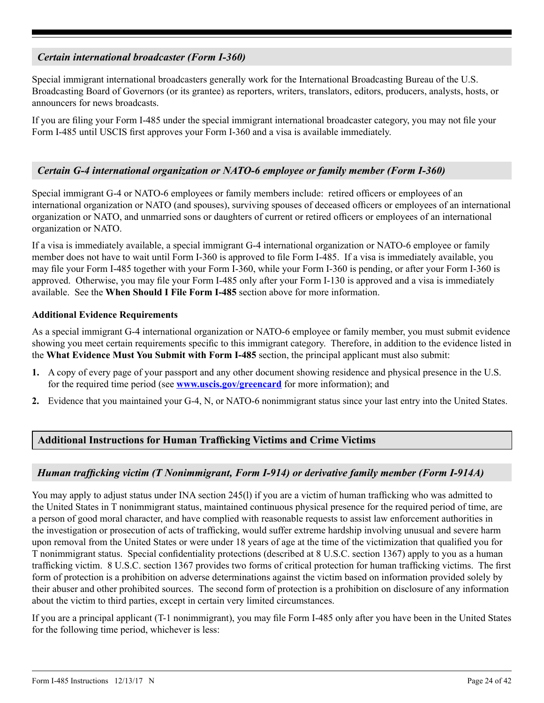## <span id="page-23-0"></span>*Certain international broadcaster (Form I-360)*

Special immigrant international broadcasters generally work for the International Broadcasting Bureau of the U.S. Broadcasting Board of Governors (or its grantee) as reporters, writers, translators, editors, producers, analysts, hosts, or announcers for news broadcasts.

If you are filing your Form I-485 under the special immigrant international broadcaster category, you may not file your Form I-485 until USCIS first approves your Form I-360 and a visa is available immediately.

## *Certain G-4 international organization or NATO-6 employee or family member (Form I-360)*

Special immigrant G-4 or NATO-6 employees or family members include: retired officers or employees of an international organization or NATO (and spouses), surviving spouses of deceased officers or employees of an international organization or NATO, and unmarried sons or daughters of current or retired officers or employees of an international organization or NATO.

If a visa is immediately available, a special immigrant G-4 international organization or NATO-6 employee or family member does not have to wait until Form I-360 is approved to file Form I-485. If a visa is immediately available, you may file your Form I-485 together with your Form I-360, while your Form I-360 is pending, or after your Form I-360 is approved. Otherwise, you may file your Form I-485 only after your Form I-130 is approved and a visa is immediately available. See the **When Should I File Form I-485** section above for more information.

### **Additional Evidence Requirements**

As a special immigrant G-4 international organization or NATO-6 employee or family member, you must submit evidence showing you meet certain requirements specific to this immigrant category. Therefore, in addition to the evidence listed in the **What Evidence Must You Submit with Form I-485** section, the principal applicant must also submit:

- **1.** A copy of every page of your passport and any other document showing residence and physical presence in the U.S. for the required time period (see **www.uscis.gov/greencard** for more information); and
- **2.** Evidence that you maintained your G-4, N, or NATO-6 nonimmigrant status since your last entry into the United States.

## **Additional Instructions for Human Trafficking Victims and Crime Victims**

## *Human trafficking victim (T Nonimmigrant, Form I-914) or derivative family member (Form I-914A)*

You may apply to adjust status under INA section 245(l) if you are a victim of human trafficking who was admitted to the United States in T nonimmigrant status, maintained continuous physical presence for the required period of time, are a person of good moral character, and have complied with reasonable requests to assist law enforcement authorities in the investigation or prosecution of acts of trafficking, would suffer extreme hardship involving unusual and severe harm upon removal from the United States or were under 18 years of age at the time of the victimization that qualified you for T nonimmigrant status. Special confidentiality protections (described at 8 U.S.C. section 1367) apply to you as a human trafficking victim. 8 U.S.C. section 1367 provides two forms of critical protection for human trafficking victims. The first form of protection is a prohibition on adverse determinations against the victim based on information provided solely by their abuser and other prohibited sources. The second form of protection is a prohibition on disclosure of any information about the victim to third parties, except in certain very limited circumstances.

If you are a principal applicant (T-1 nonimmigrant), you may file Form I-485 only after you have been in the United States for the following time period, whichever is less: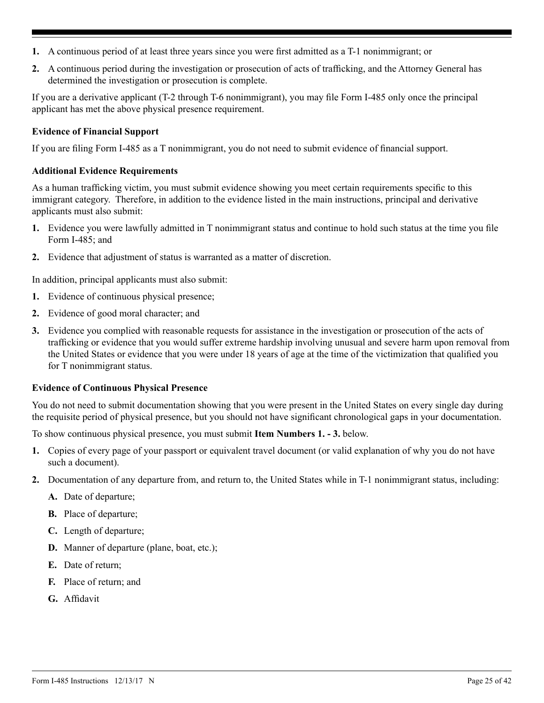- **1.** A continuous period of at least three years since you were first admitted as a T-1 nonimmigrant; or
- **2.** A continuous period during the investigation or prosecution of acts of trafficking, and the Attorney General has determined the investigation or prosecution is complete.

If you are a derivative applicant (T-2 through T-6 nonimmigrant), you may file Form I-485 only once the principal applicant has met the above physical presence requirement.

### **Evidence of Financial Support**

If you are filing Form I-485 as a T nonimmigrant, you do not need to submit evidence of financial support.

### **Additional Evidence Requirements**

As a human trafficking victim, you must submit evidence showing you meet certain requirements specific to this immigrant category. Therefore, in addition to the evidence listed in the main instructions, principal and derivative applicants must also submit:

- **1.** Evidence you were lawfully admitted in T nonimmigrant status and continue to hold such status at the time you file Form I-485; and
- **2.** Evidence that adjustment of status is warranted as a matter of discretion.

In addition, principal applicants must also submit:

- **1.** Evidence of continuous physical presence;
- **2.** Evidence of good moral character; and
- **3.** Evidence you complied with reasonable requests for assistance in the investigation or prosecution of the acts of trafficking or evidence that you would suffer extreme hardship involving unusual and severe harm upon removal from the United States or evidence that you were under 18 years of age at the time of the victimization that qualified you for T nonimmigrant status.

## **Evidence of Continuous Physical Presence**

You do not need to submit documentation showing that you were present in the United States on every single day during the requisite period of physical presence, but you should not have significant chronological gaps in your documentation.

To show continuous physical presence, you must submit **Item Numbers 1. - 3.** below.

- **1.** Copies of every page of your passport or equivalent travel document (or valid explanation of why you do not have such a document).
- **2.** Documentation of any departure from, and return to, the United States while in T-1 nonimmigrant status, including:
	- **A.** Date of departure;
	- **B.** Place of departure;
	- **C.** Length of departure;
	- **D.** Manner of departure (plane, boat, etc.);
	- **E.** Date of return;
	- **F.** Place of return; and
	- **G.** Affidavit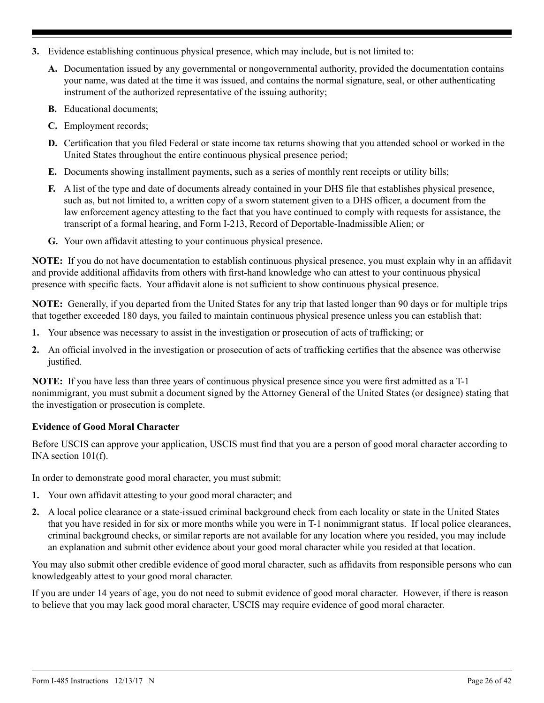- <span id="page-25-0"></span>**3.** Evidence establishing continuous physical presence, which may include, but is not limited to:
	- **A.** Documentation issued by any governmental or nongovernmental authority, provided the documentation contains your name, was dated at the time it was issued, and contains the normal signature, seal, or other authenticating instrument of the authorized representative of the issuing authority;
	- **B.** Educational documents;
	- **C.** Employment records;
	- **D.** Certification that you filed Federal or state income tax returns showing that you attended school or worked in the United States throughout the entire continuous physical presence period;
	- **E.** Documents showing installment payments, such as a series of monthly rent receipts or utility bills;
	- **F.** A list of the type and date of documents already contained in your DHS file that establishes physical presence, such as, but not limited to, a written copy of a sworn statement given to a DHS officer, a document from the law enforcement agency attesting to the fact that you have continued to comply with requests for assistance, the transcript of a formal hearing, and Form I-213, Record of Deportable-Inadmissible Alien; or
	- **G.** Your own affidavit attesting to your continuous physical presence.

**NOTE:** If you do not have documentation to establish continuous physical presence, you must explain why in an affidavit and provide additional affidavits from others with first-hand knowledge who can attest to your continuous physical presence with specific facts. Your affidavit alone is not sufficient to show continuous physical presence.

**NOTE:** Generally, if you departed from the United States for any trip that lasted longer than 90 days or for multiple trips that together exceeded 180 days, you failed to maintain continuous physical presence unless you can establish that:

- **1.** Your absence was necessary to assist in the investigation or prosecution of acts of trafficking; or
- **2.** An official involved in the investigation or prosecution of acts of trafficking certifies that the absence was otherwise justified.

**NOTE:** If you have less than three years of continuous physical presence since you were first admitted as a T-1 nonimmigrant, you must submit a document signed by the Attorney General of the United States (or designee) stating that the investigation or prosecution is complete.

## **Evidence of Good Moral Character**

Before USCIS can approve your application, USCIS must find that you are a person of good moral character according to INA section 101(f).

In order to demonstrate good moral character, you must submit:

- **1.** Your own affidavit attesting to your good moral character; and
- **2.** A local police clearance or a state-issued criminal background check from each locality or state in the United States that you have resided in for six or more months while you were in T-1 nonimmigrant status. If local police clearances, criminal background checks, or similar reports are not available for any location where you resided, you may include an explanation and submit other evidence about your good moral character while you resided at that location.

You may also submit other credible evidence of good moral character, such as affidavits from responsible persons who can knowledgeably attest to your good moral character.

If you are under 14 years of age, you do not need to submit evidence of good moral character. However, if there is reason to believe that you may lack good moral character, USCIS may require evidence of good moral character.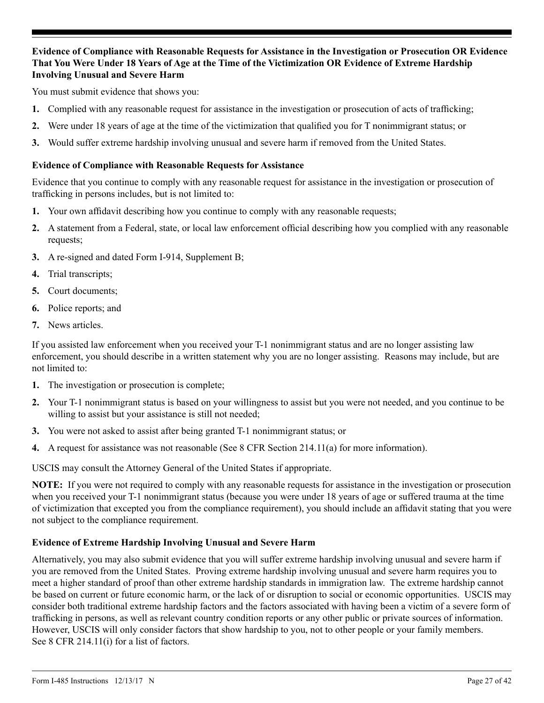## **Evidence of Compliance with Reasonable Requests for Assistance in the Investigation or Prosecution OR Evidence That You Were Under 18 Years of Age at the Time of the Victimization OR Evidence of Extreme Hardship Involving Unusual and Severe Harm**

You must submit evidence that shows you:

- **1.** Complied with any reasonable request for assistance in the investigation or prosecution of acts of trafficking;
- **2.** Were under 18 years of age at the time of the victimization that qualified you for T nonimmigrant status; or
- **3.** Would suffer extreme hardship involving unusual and severe harm if removed from the United States.

### **Evidence of Compliance with Reasonable Requests for Assistance**

Evidence that you continue to comply with any reasonable request for assistance in the investigation or prosecution of trafficking in persons includes, but is not limited to:

- **1.** Your own affidavit describing how you continue to comply with any reasonable requests;
- **2.** A statement from a Federal, state, or local law enforcement official describing how you complied with any reasonable requests;
- **3.** A re-signed and dated Form I-914, Supplement B;
- **4.** Trial transcripts;
- **5.** Court documents;
- **6.** Police reports; and
- **7.** News articles.

If you assisted law enforcement when you received your T-1 nonimmigrant status and are no longer assisting law enforcement, you should describe in a written statement why you are no longer assisting. Reasons may include, but are not limited to:

- **1.** The investigation or prosecution is complete;
- **2.** Your T-1 nonimmigrant status is based on your willingness to assist but you were not needed, and you continue to be willing to assist but your assistance is still not needed;
- **3.** You were not asked to assist after being granted T-1 nonimmigrant status; or
- **4.** A request for assistance was not reasonable (See 8 CFR Section 214.11(a) for more information).

USCIS may consult the Attorney General of the United States if appropriate.

**NOTE:** If you were not required to comply with any reasonable requests for assistance in the investigation or prosecution when you received your T-1 nonimmigrant status (because you were under 18 years of age or suffered trauma at the time of victimization that excepted you from the compliance requirement), you should include an affidavit stating that you were not subject to the compliance requirement.

## **Evidence of Extreme Hardship Involving Unusual and Severe Harm**

Alternatively, you may also submit evidence that you will suffer extreme hardship involving unusual and severe harm if you are removed from the United States. Proving extreme hardship involving unusual and severe harm requires you to meet a higher standard of proof than other extreme hardship standards in immigration law. The extreme hardship cannot be based on current or future economic harm, or the lack of or disruption to social or economic opportunities. USCIS may consider both traditional extreme hardship factors and the factors associated with having been a victim of a severe form of trafficking in persons, as well as relevant country condition reports or any other public or private sources of information. However, USCIS will only consider factors that show hardship to you, not to other people or your family members. See 8 CFR 214.11(i) for a list of factors.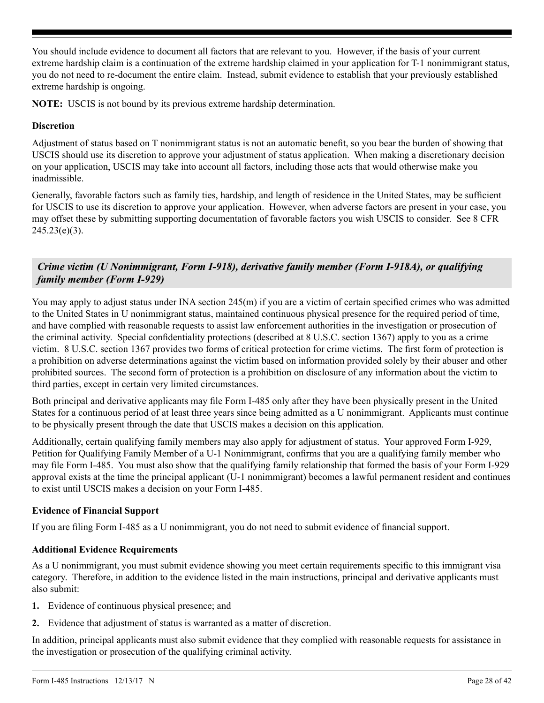You should include evidence to document all factors that are relevant to you. However, if the basis of your current extreme hardship claim is a continuation of the extreme hardship claimed in your application for T-1 nonimmigrant status, you do not need to re-document the entire claim. Instead, submit evidence to establish that your previously established extreme hardship is ongoing.

**NOTE:** USCIS is not bound by its previous extreme hardship determination.

## **Discretion**

Adjustment of status based on T nonimmigrant status is not an automatic benefit, so you bear the burden of showing that USCIS should use its discretion to approve your adjustment of status application. When making a discretionary decision on your application, USCIS may take into account all factors, including those acts that would otherwise make you inadmissible.

Generally, favorable factors such as family ties, hardship, and length of residence in the United States, may be sufficient for USCIS to use its discretion to approve your application. However, when adverse factors are present in your case, you may offset these by submitting supporting documentation of favorable factors you wish USCIS to consider. See 8 CFR  $245.23(e)(3)$ .

## *Crime victim (U Nonimmigrant, Form I-918), derivative family member (Form I-918A), or qualifying family member (Form I-929)*

You may apply to adjust status under INA section 245(m) if you are a victim of certain specified crimes who was admitted to the United States in U nonimmigrant status, maintained continuous physical presence for the required period of time, and have complied with reasonable requests to assist law enforcement authorities in the investigation or prosecution of the criminal activity. Special confidentiality protections (described at 8 U.S.C. section 1367) apply to you as a crime victim. 8 U.S.C. section 1367 provides two forms of critical protection for crime victims. The first form of protection is a prohibition on adverse determinations against the victim based on information provided solely by their abuser and other prohibited sources. The second form of protection is a prohibition on disclosure of any information about the victim to third parties, except in certain very limited circumstances.

Both principal and derivative applicants may file Form I-485 only after they have been physically present in the United States for a continuous period of at least three years since being admitted as a U nonimmigrant. Applicants must continue to be physically present through the date that USCIS makes a decision on this application.

Additionally, certain qualifying family members may also apply for adjustment of status. Your approved Form I-929, Petition for Qualifying Family Member of a U-1 Nonimmigrant, confirms that you are a qualifying family member who may file Form I-485. You must also show that the qualifying family relationship that formed the basis of your Form I-929 approval exists at the time the principal applicant (U-1 nonimmigrant) becomes a lawful permanent resident and continues to exist until USCIS makes a decision on your Form I-485.

## **Evidence of Financial Support**

If you are filing Form I-485 as a U nonimmigrant, you do not need to submit evidence of financial support.

## **Additional Evidence Requirements**

As a U nonimmigrant, you must submit evidence showing you meet certain requirements specific to this immigrant visa category. Therefore, in addition to the evidence listed in the main instructions, principal and derivative applicants must also submit:

- **1.** Evidence of continuous physical presence; and
- **2.** Evidence that adjustment of status is warranted as a matter of discretion.

In addition, principal applicants must also submit evidence that they complied with reasonable requests for assistance in the investigation or prosecution of the qualifying criminal activity.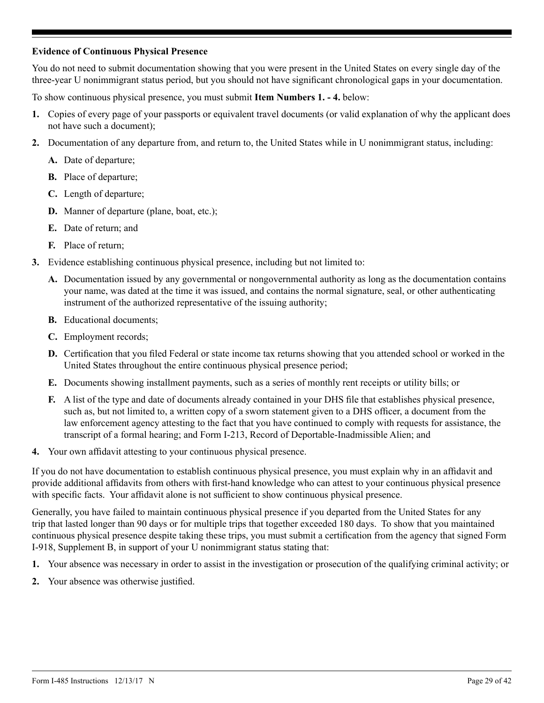### **Evidence of Continuous Physical Presence**

You do not need to submit documentation showing that you were present in the United States on every single day of the three-year U nonimmigrant status period, but you should not have significant chronological gaps in your documentation.

To show continuous physical presence, you must submit **Item Numbers 1. - 4.** below:

- **1.** Copies of every page of your passports or equivalent travel documents (or valid explanation of why the applicant does not have such a document);
- **2.** Documentation of any departure from, and return to, the United States while in U nonimmigrant status, including:
	- **A.** Date of departure;
	- **B.** Place of departure;
	- **C.** Length of departure;
	- **D.** Manner of departure (plane, boat, etc.);
	- **E.** Date of return; and
	- **F.** Place of return;
- **3.** Evidence establishing continuous physical presence, including but not limited to:
	- **A.** Documentation issued by any governmental or nongovernmental authority as long as the documentation contains your name, was dated at the time it was issued, and contains the normal signature, seal, or other authenticating instrument of the authorized representative of the issuing authority;
	- **B.** Educational documents;
	- **C.** Employment records;
	- **D.** Certification that you filed Federal or state income tax returns showing that you attended school or worked in the United States throughout the entire continuous physical presence period;
	- **E.** Documents showing installment payments, such as a series of monthly rent receipts or utility bills; or
	- **F.** A list of the type and date of documents already contained in your DHS file that establishes physical presence, such as, but not limited to, a written copy of a sworn statement given to a DHS officer, a document from the law enforcement agency attesting to the fact that you have continued to comply with requests for assistance, the transcript of a formal hearing; and Form I-213, Record of Deportable-Inadmissible Alien; and
- **4.** Your own affidavit attesting to your continuous physical presence.

If you do not have documentation to establish continuous physical presence, you must explain why in an affidavit and provide additional affidavits from others with first-hand knowledge who can attest to your continuous physical presence with specific facts. Your affidavit alone is not sufficient to show continuous physical presence.

Generally, you have failed to maintain continuous physical presence if you departed from the United States for any trip that lasted longer than 90 days or for multiple trips that together exceeded 180 days. To show that you maintained continuous physical presence despite taking these trips, you must submit a certification from the agency that signed Form I-918, Supplement B, in support of your U nonimmigrant status stating that:

- **1.** Your absence was necessary in order to assist in the investigation or prosecution of the qualifying criminal activity; or
- **2.** Your absence was otherwise justified.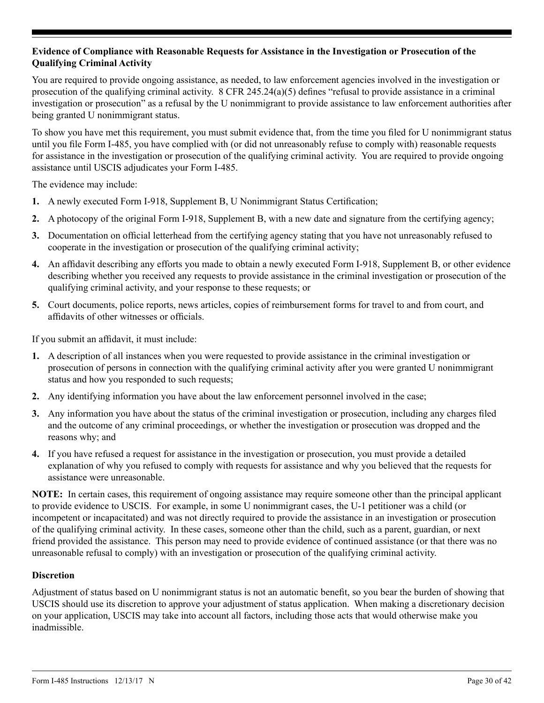## **Evidence of Compliance with Reasonable Requests for Assistance in the Investigation or Prosecution of the Qualifying Criminal Activity**

You are required to provide ongoing assistance, as needed, to law enforcement agencies involved in the investigation or prosecution of the qualifying criminal activity. 8 CFR 245.24(a)(5) defines "refusal to provide assistance in a criminal investigation or prosecution" as a refusal by the U nonimmigrant to provide assistance to law enforcement authorities after being granted U nonimmigrant status.

To show you have met this requirement, you must submit evidence that, from the time you filed for U nonimmigrant status until you file Form I-485, you have complied with (or did not unreasonably refuse to comply with) reasonable requests for assistance in the investigation or prosecution of the qualifying criminal activity. You are required to provide ongoing assistance until USCIS adjudicates your Form I-485.

The evidence may include:

- **1.** A newly executed Form I-918, Supplement B, U Nonimmigrant Status Certification;
- **2.** A photocopy of the original Form I-918, Supplement B, with a new date and signature from the certifying agency;
- **3.** Documentation on official letterhead from the certifying agency stating that you have not unreasonably refused to cooperate in the investigation or prosecution of the qualifying criminal activity;
- **4.** An affidavit describing any efforts you made to obtain a newly executed Form I-918, Supplement B, or other evidence describing whether you received any requests to provide assistance in the criminal investigation or prosecution of the qualifying criminal activity, and your response to these requests; or
- **5.** Court documents, police reports, news articles, copies of reimbursement forms for travel to and from court, and affidavits of other witnesses or officials.

If you submit an affidavit, it must include:

- **1.** A description of all instances when you were requested to provide assistance in the criminal investigation or prosecution of persons in connection with the qualifying criminal activity after you were granted U nonimmigrant status and how you responded to such requests;
- **2.** Any identifying information you have about the law enforcement personnel involved in the case;
- **3.** Any information you have about the status of the criminal investigation or prosecution, including any charges filed and the outcome of any criminal proceedings, or whether the investigation or prosecution was dropped and the reasons why; and
- **4.** If you have refused a request for assistance in the investigation or prosecution, you must provide a detailed explanation of why you refused to comply with requests for assistance and why you believed that the requests for assistance were unreasonable.

**NOTE:** In certain cases, this requirement of ongoing assistance may require someone other than the principal applicant to provide evidence to USCIS. For example, in some U nonimmigrant cases, the U-1 petitioner was a child (or incompetent or incapacitated) and was not directly required to provide the assistance in an investigation or prosecution of the qualifying criminal activity. In these cases, someone other than the child, such as a parent, guardian, or next friend provided the assistance. This person may need to provide evidence of continued assistance (or that there was no unreasonable refusal to comply) with an investigation or prosecution of the qualifying criminal activity.

### **Discretion**

Adjustment of status based on U nonimmigrant status is not an automatic benefit, so you bear the burden of showing that USCIS should use its discretion to approve your adjustment of status application. When making a discretionary decision on your application, USCIS may take into account all factors, including those acts that would otherwise make you inadmissible.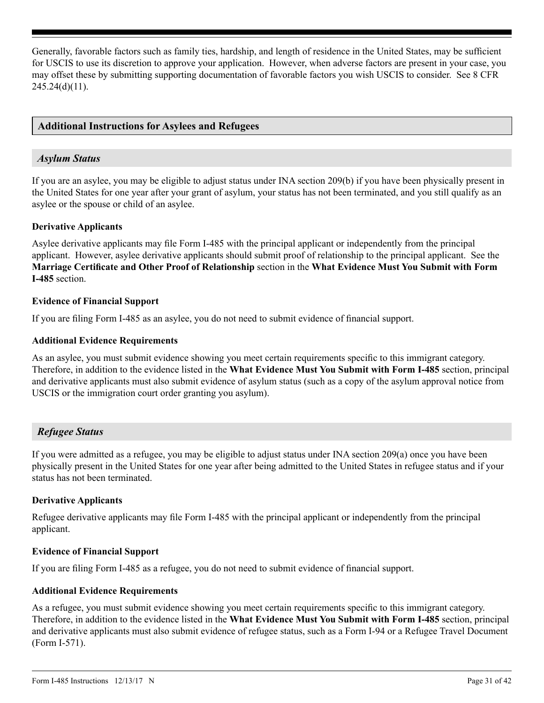Generally, favorable factors such as family ties, hardship, and length of residence in the United States, may be sufficient for USCIS to use its discretion to approve your application. However, when adverse factors are present in your case, you may offset these by submitting supporting documentation of favorable factors you wish USCIS to consider. See 8 CFR  $245.24(d)(11)$ .

### **Additional Instructions for Asylees and Refugees**

## *Asylum Status*

If you are an asylee, you may be eligible to adjust status under INA section 209(b) if you have been physically present in the United States for one year after your grant of asylum, your status has not been terminated, and you still qualify as an asylee or the spouse or child of an asylee.

### **Derivative Applicants**

Asylee derivative applicants may file Form I-485 with the principal applicant or independently from the principal applicant. However, asylee derivative applicants should submit proof of relationship to the principal applicant. See the **Marriage Certificate and Other Proof of Relationship** section in the **What Evidence Must You Submit with Form I-485** section.

#### **Evidence of Financial Support**

If you are filing Form I-485 as an asylee, you do not need to submit evidence of financial support.

#### **Additional Evidence Requirements**

As an asylee, you must submit evidence showing you meet certain requirements specific to this immigrant category. Therefore, in addition to the evidence listed in the **What Evidence Must You Submit with Form I-485** section, principal and derivative applicants must also submit evidence of asylum status (such as a copy of the asylum approval notice from USCIS or the immigration court order granting you asylum).

## *Refugee Status*

If you were admitted as a refugee, you may be eligible to adjust status under INA section 209(a) once you have been physically present in the United States for one year after being admitted to the United States in refugee status and if your status has not been terminated.

### **Derivative Applicants**

Refugee derivative applicants may file Form I-485 with the principal applicant or independently from the principal applicant.

### **Evidence of Financial Support**

If you are filing Form I-485 as a refugee, you do not need to submit evidence of financial support.

### **Additional Evidence Requirements**

As a refugee, you must submit evidence showing you meet certain requirements specific to this immigrant category. Therefore, in addition to the evidence listed in the **What Evidence Must You Submit with Form I-485** section, principal and derivative applicants must also submit evidence of refugee status, such as a Form I-94 or a Refugee Travel Document (Form I-571).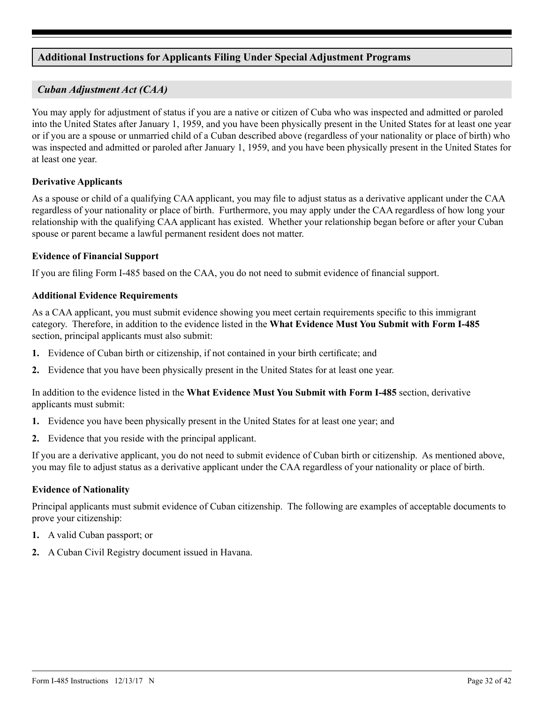## <span id="page-31-0"></span>**Additional Instructions for Applicants Filing Under Special Adjustment Programs**

## *Cuban Adjustment Act (CAA)*

You may apply for adjustment of status if you are a native or citizen of Cuba who was inspected and admitted or paroled into the United States after January 1, 1959, and you have been physically present in the United States for at least one year or if you are a spouse or unmarried child of a Cuban described above (regardless of your nationality or place of birth) who was inspected and admitted or paroled after January 1, 1959, and you have been physically present in the United States for at least one year.

### **Derivative Applicants**

As a spouse or child of a qualifying CAA applicant, you may file to adjust status as a derivative applicant under the CAA regardless of your nationality or place of birth. Furthermore, you may apply under the CAA regardless of how long your relationship with the qualifying CAA applicant has existed. Whether your relationship began before or after your Cuban spouse or parent became a lawful permanent resident does not matter.

### **Evidence of Financial Support**

If you are filing Form I-485 based on the CAA, you do not need to submit evidence of financial support.

### **Additional Evidence Requirements**

As a CAA applicant, you must submit evidence showing you meet certain requirements specific to this immigrant category. Therefore, in addition to the evidence listed in the **What Evidence Must You Submit with Form I-485** section, principal applicants must also submit:

- **1.** Evidence of Cuban birth or citizenship, if not contained in your birth certificate; and
- **2.** Evidence that you have been physically present in the United States for at least one year.

In addition to the evidence listed in the **What Evidence Must You Submit with Form I-485** section, derivative applicants must submit:

- **1.** Evidence you have been physically present in the United States for at least one year; and
- **2.** Evidence that you reside with the principal applicant.

If you are a derivative applicant, you do not need to submit evidence of Cuban birth or citizenship. As mentioned above, you may file to adjust status as a derivative applicant under the CAA regardless of your nationality or place of birth.

### **Evidence of Nationality**

Principal applicants must submit evidence of Cuban citizenship. The following are examples of acceptable documents to prove your citizenship:

- **1.** A valid Cuban passport; or
- **2.** A Cuban Civil Registry document issued in Havana.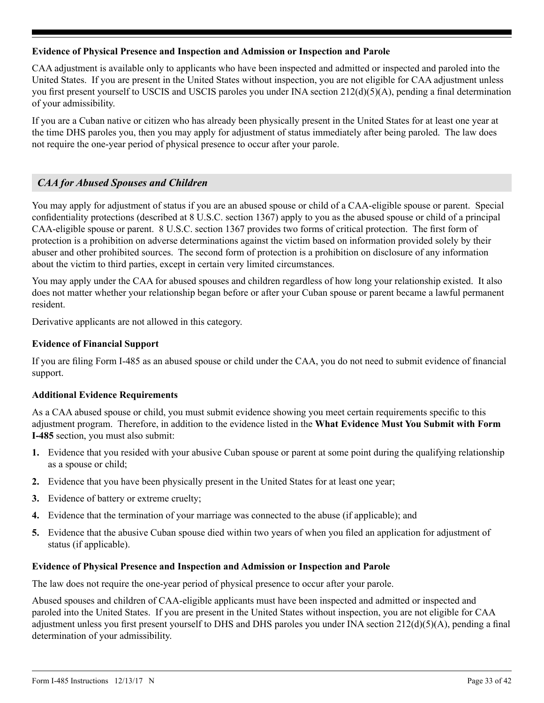## <span id="page-32-0"></span>**Evidence of Physical Presence and Inspection and Admission or Inspection and Parole**

CAA adjustment is available only to applicants who have been inspected and admitted or inspected and paroled into the United States. If you are present in the United States without inspection, you are not eligible for CAA adjustment unless you first present yourself to USCIS and USCIS paroles you under INA section 212(d)(5)(A), pending a final determination of your admissibility.

If you are a Cuban native or citizen who has already been physically present in the United States for at least one year at the time DHS paroles you, then you may apply for adjustment of status immediately after being paroled. The law does not require the one-year period of physical presence to occur after your parole.

## *CAA for Abused Spouses and Children*

You may apply for adjustment of status if you are an abused spouse or child of a CAA-eligible spouse or parent. Special confidentiality protections (described at 8 U.S.C. section 1367) apply to you as the abused spouse or child of a principal CAA-eligible spouse or parent. 8 U.S.C. section 1367 provides two forms of critical protection. The first form of protection is a prohibition on adverse determinations against the victim based on information provided solely by their abuser and other prohibited sources. The second form of protection is a prohibition on disclosure of any information about the victim to third parties, except in certain very limited circumstances.

You may apply under the CAA for abused spouses and children regardless of how long your relationship existed. It also does not matter whether your relationship began before or after your Cuban spouse or parent became a lawful permanent resident.

Derivative applicants are not allowed in this category.

### **Evidence of Financial Support**

If you are filing Form I-485 as an abused spouse or child under the CAA, you do not need to submit evidence of financial support.

### **Additional Evidence Requirements**

As a CAA abused spouse or child, you must submit evidence showing you meet certain requirements specific to this adjustment program. Therefore, in addition to the evidence listed in the **What Evidence Must You Submit with Form I-485** section, you must also submit:

- **1.** Evidence that you resided with your abusive Cuban spouse or parent at some point during the qualifying relationship as a spouse or child;
- **2.** Evidence that you have been physically present in the United States for at least one year;
- **3.** Evidence of battery or extreme cruelty;
- **4.** Evidence that the termination of your marriage was connected to the abuse (if applicable); and
- **5.** Evidence that the abusive Cuban spouse died within two years of when you filed an application for adjustment of status (if applicable).

### **Evidence of Physical Presence and Inspection and Admission or Inspection and Parole**

The law does not require the one-year period of physical presence to occur after your parole.

Abused spouses and children of CAA-eligible applicants must have been inspected and admitted or inspected and paroled into the United States. If you are present in the United States without inspection, you are not eligible for CAA adjustment unless you first present yourself to DHS and DHS paroles you under INA section 212(d)(5)(A), pending a final determination of your admissibility.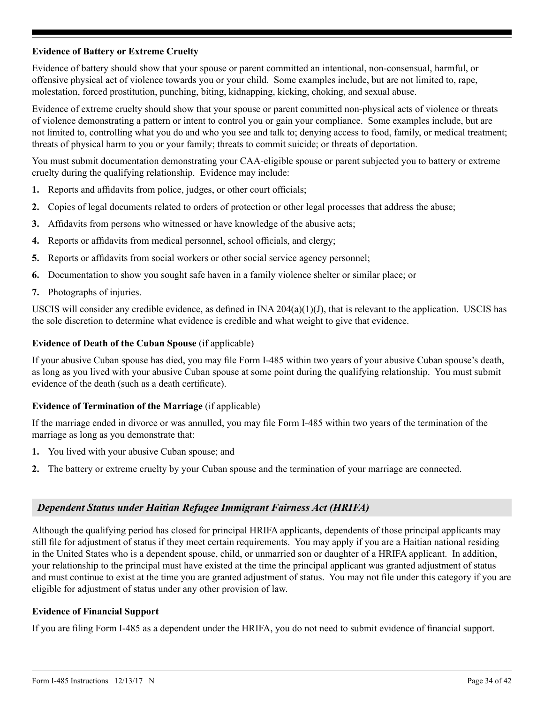## **Evidence of Battery or Extreme Cruelty**

Evidence of battery should show that your spouse or parent committed an intentional, non-consensual, harmful, or offensive physical act of violence towards you or your child. Some examples include, but are not limited to, rape, molestation, forced prostitution, punching, biting, kidnapping, kicking, choking, and sexual abuse.

Evidence of extreme cruelty should show that your spouse or parent committed non-physical acts of violence or threats of violence demonstrating a pattern or intent to control you or gain your compliance. Some examples include, but are not limited to, controlling what you do and who you see and talk to; denying access to food, family, or medical treatment; threats of physical harm to you or your family; threats to commit suicide; or threats of deportation.

You must submit documentation demonstrating your CAA-eligible spouse or parent subjected you to battery or extreme cruelty during the qualifying relationship. Evidence may include:

- **1.** Reports and affidavits from police, judges, or other court officials;
- **2.** Copies of legal documents related to orders of protection or other legal processes that address the abuse;
- **3.** Affidavits from persons who witnessed or have knowledge of the abusive acts;
- **4.** Reports or affidavits from medical personnel, school officials, and clergy;
- **5.** Reports or affidavits from social workers or other social service agency personnel;
- **6.** Documentation to show you sought safe haven in a family violence shelter or similar place; or
- **7.** Photographs of injuries.

USCIS will consider any credible evidence, as defined in  $[NA 204(a)(1)(J)]$ , that is relevant to the application. USCIS has the sole discretion to determine what evidence is credible and what weight to give that evidence.

### **Evidence of Death of the Cuban Spouse** (if applicable)

If your abusive Cuban spouse has died, you may file Form I-485 within two years of your abusive Cuban spouse's death, as long as you lived with your abusive Cuban spouse at some point during the qualifying relationship. You must submit evidence of the death (such as a death certificate).

### **Evidence of Termination of the Marriage** (if applicable)

If the marriage ended in divorce or was annulled, you may file Form I-485 within two years of the termination of the marriage as long as you demonstrate that:

- **1.** You lived with your abusive Cuban spouse; and
- **2.** The battery or extreme cruelty by your Cuban spouse and the termination of your marriage are connected.

## *Dependent Status under Haitian Refugee Immigrant Fairness Act (HRIFA)*

Although the qualifying period has closed for principal HRIFA applicants, dependents of those principal applicants may still file for adjustment of status if they meet certain requirements. You may apply if you are a Haitian national residing in the United States who is a dependent spouse, child, or unmarried son or daughter of a HRIFA applicant. In addition, your relationship to the principal must have existed at the time the principal applicant was granted adjustment of status and must continue to exist at the time you are granted adjustment of status. You may not file under this category if you are eligible for adjustment of status under any other provision of law.

### **Evidence of Financial Support**

If you are filing Form I-485 as a dependent under the HRIFA, you do not need to submit evidence of financial support.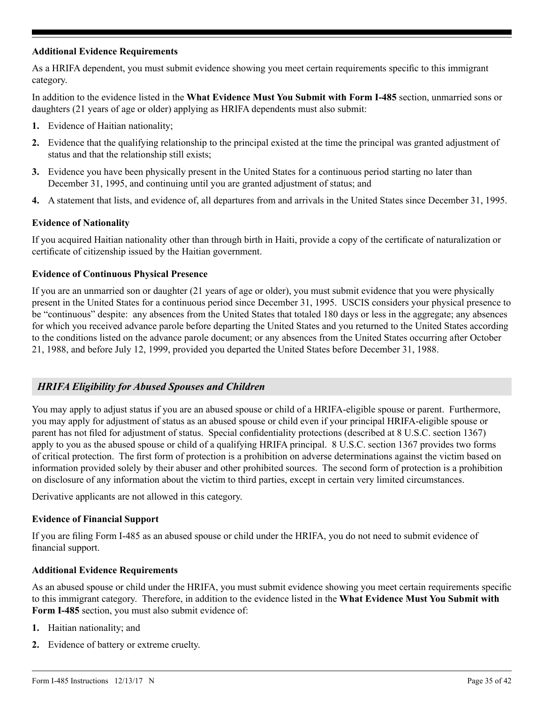### **Additional Evidence Requirements**

As a HRIFA dependent, you must submit evidence showing you meet certain requirements specific to this immigrant category.

In addition to the evidence listed in the **What Evidence Must You Submit with Form I-485** section, unmarried sons or daughters (21 years of age or older) applying as HRIFA dependents must also submit:

- **1.** Evidence of Haitian nationality;
- **2.** Evidence that the qualifying relationship to the principal existed at the time the principal was granted adjustment of status and that the relationship still exists;
- **3.** Evidence you have been physically present in the United States for a continuous period starting no later than December 31, 1995, and continuing until you are granted adjustment of status; and
- **4.** A statement that lists, and evidence of, all departures from and arrivals in the United States since December 31, 1995.

### **Evidence of Nationality**

If you acquired Haitian nationality other than through birth in Haiti, provide a copy of the certificate of naturalization or certificate of citizenship issued by the Haitian government.

### **Evidence of Continuous Physical Presence**

If you are an unmarried son or daughter (21 years of age or older), you must submit evidence that you were physically present in the United States for a continuous period since December 31, 1995. USCIS considers your physical presence to be "continuous" despite: any absences from the United States that totaled 180 days or less in the aggregate; any absences for which you received advance parole before departing the United States and you returned to the United States according to the conditions listed on the advance parole document; or any absences from the United States occurring after October 21, 1988, and before July 12, 1999, provided you departed the United States before December 31, 1988.

## *HRIFA Eligibility for Abused Spouses and Children*

You may apply to adjust status if you are an abused spouse or child of a HRIFA-eligible spouse or parent. Furthermore, you may apply for adjustment of status as an abused spouse or child even if your principal HRIFA-eligible spouse or parent has not filed for adjustment of status. Special confidentiality protections (described at 8 U.S.C. section 1367) apply to you as the abused spouse or child of a qualifying HRIFA principal. 8 U.S.C. section 1367 provides two forms of critical protection. The first form of protection is a prohibition on adverse determinations against the victim based on information provided solely by their abuser and other prohibited sources. The second form of protection is a prohibition on disclosure of any information about the victim to third parties, except in certain very limited circumstances.

Derivative applicants are not allowed in this category.

### **Evidence of Financial Support**

If you are filing Form I-485 as an abused spouse or child under the HRIFA, you do not need to submit evidence of financial support.

### **Additional Evidence Requirements**

As an abused spouse or child under the HRIFA, you must submit evidence showing you meet certain requirements specific to this immigrant category. Therefore, in addition to the evidence listed in the **What Evidence Must You Submit with Form I-485** section, you must also submit evidence of:

- **1.** Haitian nationality; and
- **2.** Evidence of battery or extreme cruelty.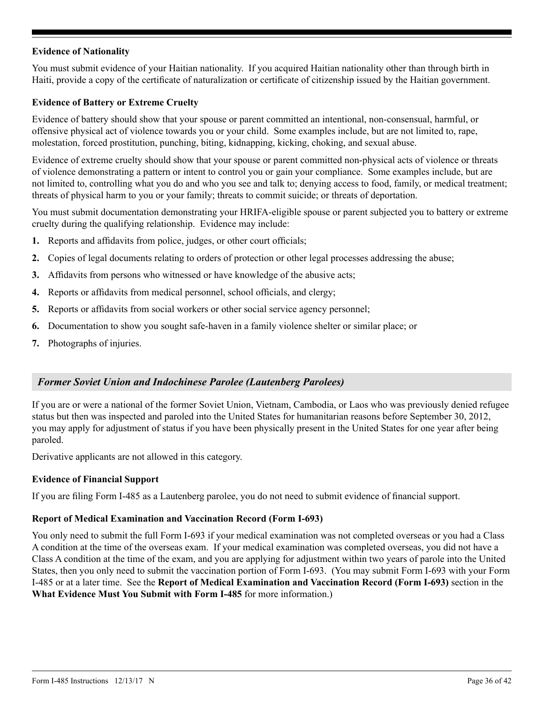## **Evidence of Nationality**

You must submit evidence of your Haitian nationality. If you acquired Haitian nationality other than through birth in Haiti, provide a copy of the certificate of naturalization or certificate of citizenship issued by the Haitian government.

## **Evidence of Battery or Extreme Cruelty**

Evidence of battery should show that your spouse or parent committed an intentional, non-consensual, harmful, or offensive physical act of violence towards you or your child. Some examples include, but are not limited to, rape, molestation, forced prostitution, punching, biting, kidnapping, kicking, choking, and sexual abuse.

Evidence of extreme cruelty should show that your spouse or parent committed non-physical acts of violence or threats of violence demonstrating a pattern or intent to control you or gain your compliance. Some examples include, but are not limited to, controlling what you do and who you see and talk to; denying access to food, family, or medical treatment; threats of physical harm to you or your family; threats to commit suicide; or threats of deportation.

You must submit documentation demonstrating your HRIFA-eligible spouse or parent subjected you to battery or extreme cruelty during the qualifying relationship. Evidence may include:

- **1.** Reports and affidavits from police, judges, or other court officials;
- **2.** Copies of legal documents relating to orders of protection or other legal processes addressing the abuse;
- **3.** Affidavits from persons who witnessed or have knowledge of the abusive acts;
- **4.** Reports or affidavits from medical personnel, school officials, and clergy;
- **5.** Reports or affidavits from social workers or other social service agency personnel;
- **6.** Documentation to show you sought safe-haven in a family violence shelter or similar place; or
- **7.** Photographs of injuries.

## *Former Soviet Union and Indochinese Parolee (Lautenberg Parolees)*

If you are or were a national of the former Soviet Union, Vietnam, Cambodia, or Laos who was previously denied refugee status but then was inspected and paroled into the United States for humanitarian reasons before September 30, 2012, you may apply for adjustment of status if you have been physically present in the United States for one year after being paroled.

Derivative applicants are not allowed in this category.

### **Evidence of Financial Support**

If you are filing Form I-485 as a Lautenberg parolee, you do not need to submit evidence of financial support.

### **Report of Medical Examination and Vaccination Record (Form I-693)**

You only need to submit the full Form I-693 if your medical examination was not completed overseas or you had a Class A condition at the time of the overseas exam. If your medical examination was completed overseas, you did not have a Class A condition at the time of the exam, and you are applying for adjustment within two years of parole into the United States, then you only need to submit the vaccination portion of Form I-693. (You may submit Form I-693 with your Form I-485 or at a later time. See the **Report of Medical Examination and Vaccination Record (Form I-693)** section in the **What Evidence Must You Submit with Form I-485** for more information.)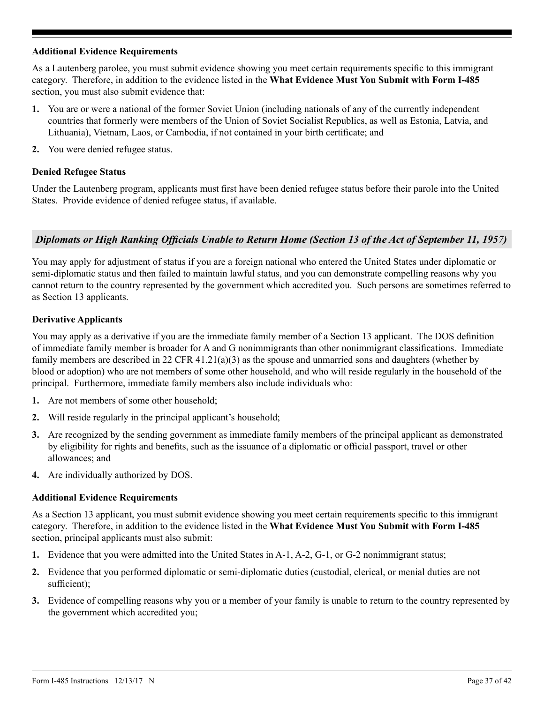### **Additional Evidence Requirements**

As a Lautenberg parolee, you must submit evidence showing you meet certain requirements specific to this immigrant category. Therefore, in addition to the evidence listed in the **What Evidence Must You Submit with Form I-485** section, you must also submit evidence that:

- **1.** You are or were a national of the former Soviet Union (including nationals of any of the currently independent countries that formerly were members of the Union of Soviet Socialist Republics, as well as Estonia, Latvia, and Lithuania), Vietnam, Laos, or Cambodia, if not contained in your birth certificate; and
- **2.** You were denied refugee status.

### **Denied Refugee Status**

Under the Lautenberg program, applicants must first have been denied refugee status before their parole into the United States. Provide evidence of denied refugee status, if available.

## *Diplomats or High Ranking Officials Unable to Return Home (Section 13 of the Act of September 11, 1957)*

You may apply for adjustment of status if you are a foreign national who entered the United States under diplomatic or semi-diplomatic status and then failed to maintain lawful status, and you can demonstrate compelling reasons why you cannot return to the country represented by the government which accredited you. Such persons are sometimes referred to as Section 13 applicants.

## **Derivative Applicants**

You may apply as a derivative if you are the immediate family member of a Section 13 applicant. The DOS definition of immediate family member is broader for A and G nonimmigrants than other nonimmigrant classifications. Immediate family members are described in 22 CFR  $41.21(a)(3)$  as the spouse and unmarried sons and daughters (whether by blood or adoption) who are not members of some other household, and who will reside regularly in the household of the principal. Furthermore, immediate family members also include individuals who:

- **1.** Are not members of some other household;
- **2.** Will reside regularly in the principal applicant's household;
- **3.** Are recognized by the sending government as immediate family members of the principal applicant as demonstrated by eligibility for rights and benefits, such as the issuance of a diplomatic or official passport, travel or other allowances; and
- **4.** Are individually authorized by DOS.

### **Additional Evidence Requirements**

As a Section 13 applicant, you must submit evidence showing you meet certain requirements specific to this immigrant category. Therefore, in addition to the evidence listed in the **What Evidence Must You Submit with Form I-485** section, principal applicants must also submit:

- **1.** Evidence that you were admitted into the United States in A-1, A-2, G-1, or G-2 nonimmigrant status;
- **2.** Evidence that you performed diplomatic or semi-diplomatic duties (custodial, clerical, or menial duties are not sufficient);
- **3.** Evidence of compelling reasons why you or a member of your family is unable to return to the country represented by the government which accredited you;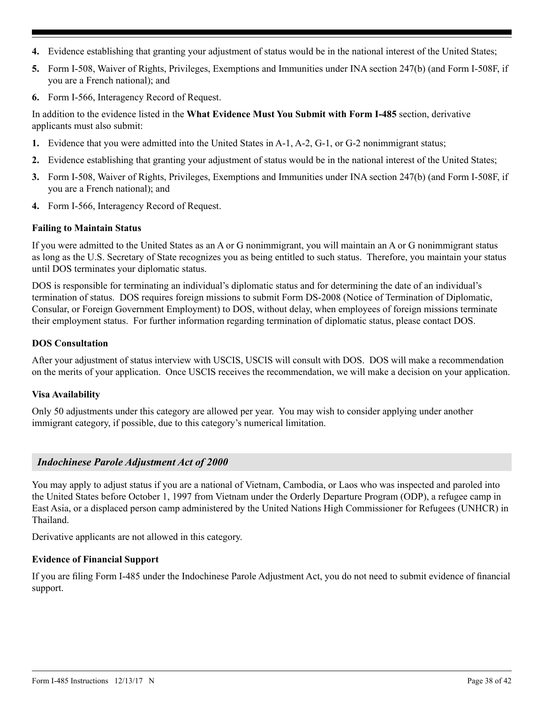- **4.** Evidence establishing that granting your adjustment of status would be in the national interest of the United States;
- **5.** Form I-508, Waiver of Rights, Privileges, Exemptions and Immunities under INA section 247(b) (and Form I-508F, if you are a French national); and
- **6.** Form I-566, Interagency Record of Request.

In addition to the evidence listed in the **What Evidence Must You Submit with Form I-485** section, derivative applicants must also submit:

- **1.** Evidence that you were admitted into the United States in A-1, A-2, G-1, or G-2 nonimmigrant status;
- **2.** Evidence establishing that granting your adjustment of status would be in the national interest of the United States;
- **3.** Form I-508, Waiver of Rights, Privileges, Exemptions and Immunities under INA section 247(b) (and Form I-508F, if you are a French national); and
- **4.** Form I-566, Interagency Record of Request.

### **Failing to Maintain Status**

If you were admitted to the United States as an A or G nonimmigrant, you will maintain an A or G nonimmigrant status as long as the U.S. Secretary of State recognizes you as being entitled to such status. Therefore, you maintain your status until DOS terminates your diplomatic status.

DOS is responsible for terminating an individual's diplomatic status and for determining the date of an individual's termination of status. DOS requires foreign missions to submit Form DS-2008 (Notice of Termination of Diplomatic, Consular, or Foreign Government Employment) to DOS, without delay, when employees of foreign missions terminate their employment status. For further information regarding termination of diplomatic status, please contact DOS.

### **DOS Consultation**

After your adjustment of status interview with USCIS, USCIS will consult with DOS. DOS will make a recommendation on the merits of your application. Once USCIS receives the recommendation, we will make a decision on your application.

### **Visa Availability**

Only 50 adjustments under this category are allowed per year. You may wish to consider applying under another immigrant category, if possible, due to this category's numerical limitation.

### *Indochinese Parole Adjustment Act of 2000*

You may apply to adjust status if you are a national of Vietnam, Cambodia, or Laos who was inspected and paroled into the United States before October 1, 1997 from Vietnam under the Orderly Departure Program (ODP), a refugee camp in East Asia, or a displaced person camp administered by the United Nations High Commissioner for Refugees (UNHCR) in Thailand.

Derivative applicants are not allowed in this category.

### **Evidence of Financial Support**

If you are filing Form I-485 under the Indochinese Parole Adjustment Act, you do not need to submit evidence of financial support.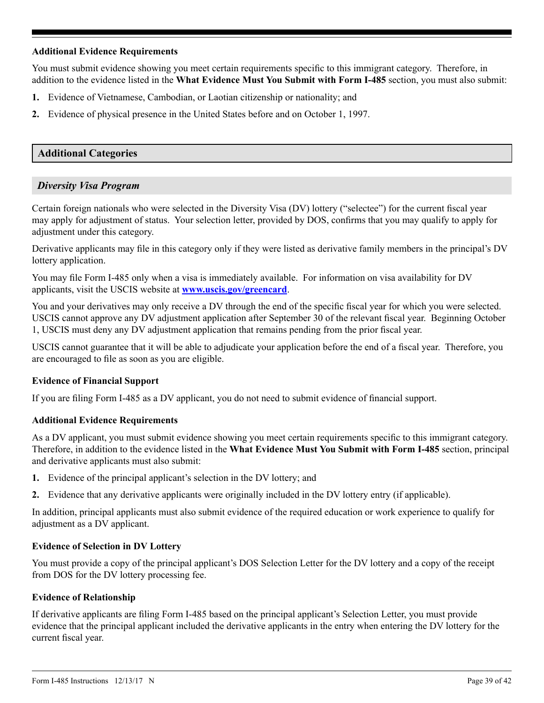### **Additional Evidence Requirements**

You must submit evidence showing you meet certain requirements specific to this immigrant category. Therefore, in addition to the evidence listed in the **What Evidence Must You Submit with Form I-485** section, you must also submit:

- **1.** Evidence of Vietnamese, Cambodian, or Laotian citizenship or nationality; and
- **2.** Evidence of physical presence in the United States before and on October 1, 1997.

## **Additional Categories**

## *Diversity Visa Program*

Certain foreign nationals who were selected in the Diversity Visa (DV) lottery ("selectee") for the current fiscal year may apply for adjustment of status. Your selection letter, provided by DOS, confirms that you may qualify to apply for adjustment under this category.

Derivative applicants may file in this category only if they were listed as derivative family members in the principal's DV lottery application.

You may file Form I-485 only when a visa is immediately available. For information on visa availability for DV applicants, visit the USCIS website at **www.uscis.gov/greencard**.

You and your derivatives may only receive a DV through the end of the specific fiscal year for which you were selected. USCIS cannot approve any DV adjustment application after September 30 of the relevant fiscal year. Beginning October 1, USCIS must deny any DV adjustment application that remains pending from the prior fiscal year.

USCIS cannot guarantee that it will be able to adjudicate your application before the end of a fiscal year. Therefore, you are encouraged to file as soon as you are eligible.

## **Evidence of Financial Support**

If you are filing Form I-485 as a DV applicant, you do not need to submit evidence of financial support.

### **Additional Evidence Requirements**

As a DV applicant, you must submit evidence showing you meet certain requirements specific to this immigrant category. Therefore, in addition to the evidence listed in the **What Evidence Must You Submit with Form I-485** section, principal and derivative applicants must also submit:

- **1.** Evidence of the principal applicant's selection in the DV lottery; and
- **2.** Evidence that any derivative applicants were originally included in the DV lottery entry (if applicable).

In addition, principal applicants must also submit evidence of the required education or work experience to qualify for adjustment as a DV applicant.

### **Evidence of Selection in DV Lottery**

You must provide a copy of the principal applicant's DOS Selection Letter for the DV lottery and a copy of the receipt from DOS for the DV lottery processing fee.

### **Evidence of Relationship**

If derivative applicants are filing Form I-485 based on the principal applicant's Selection Letter, you must provide evidence that the principal applicant included the derivative applicants in the entry when entering the DV lottery for the current fiscal year.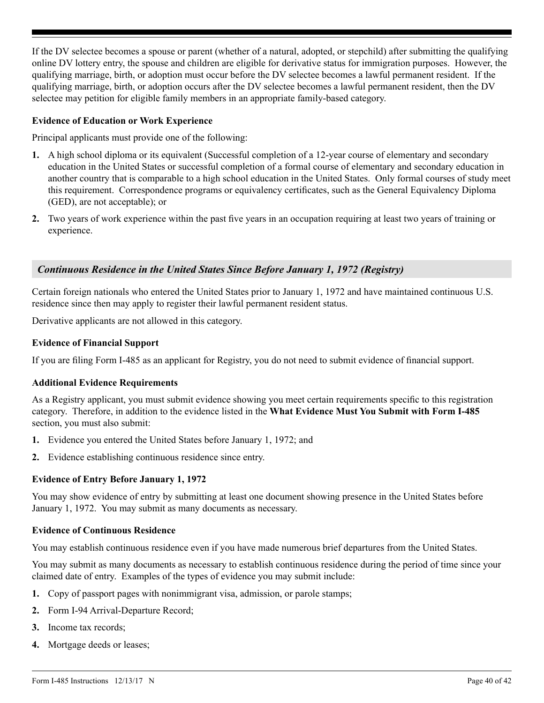<span id="page-39-0"></span>If the DV selectee becomes a spouse or parent (whether of a natural, adopted, or stepchild) after submitting the qualifying online DV lottery entry, the spouse and children are eligible for derivative status for immigration purposes. However, the qualifying marriage, birth, or adoption must occur before the DV selectee becomes a lawful permanent resident. If the qualifying marriage, birth, or adoption occurs after the DV selectee becomes a lawful permanent resident, then the DV selectee may petition for eligible family members in an appropriate family-based category.

### **Evidence of Education or Work Experience**

Principal applicants must provide one of the following:

- **1.** A high school diploma or its equivalent (Successful completion of a 12-year course of elementary and secondary education in the United States or successful completion of a formal course of elementary and secondary education in another country that is comparable to a high school education in the United States. Only formal courses of study meet this requirement. Correspondence programs or equivalency certificates, such as the General Equivalency Diploma (GED), are not acceptable); or
- **2.** Two years of work experience within the past five years in an occupation requiring at least two years of training or experience.

## *Continuous Residence in the United States Since Before January 1, 1972 (Registry)*

Certain foreign nationals who entered the United States prior to January 1, 1972 and have maintained continuous U.S. residence since then may apply to register their lawful permanent resident status.

Derivative applicants are not allowed in this category.

### **Evidence of Financial Support**

If you are filing Form I-485 as an applicant for Registry, you do not need to submit evidence of financial support.

### **Additional Evidence Requirements**

As a Registry applicant, you must submit evidence showing you meet certain requirements specific to this registration category. Therefore, in addition to the evidence listed in the **What Evidence Must You Submit with Form I-485** section, you must also submit:

- **1.** Evidence you entered the United States before January 1, 1972; and
- **2.** Evidence establishing continuous residence since entry.

## **Evidence of Entry Before January 1, 1972**

You may show evidence of entry by submitting at least one document showing presence in the United States before January 1, 1972. You may submit as many documents as necessary.

### **Evidence of Continuous Residence**

You may establish continuous residence even if you have made numerous brief departures from the United States.

You may submit as many documents as necessary to establish continuous residence during the period of time since your claimed date of entry. Examples of the types of evidence you may submit include:

- **1.** Copy of passport pages with nonimmigrant visa, admission, or parole stamps;
- **2.** Form I-94 Arrival-Departure Record;
- **3.** Income tax records;
- **4.** Mortgage deeds or leases;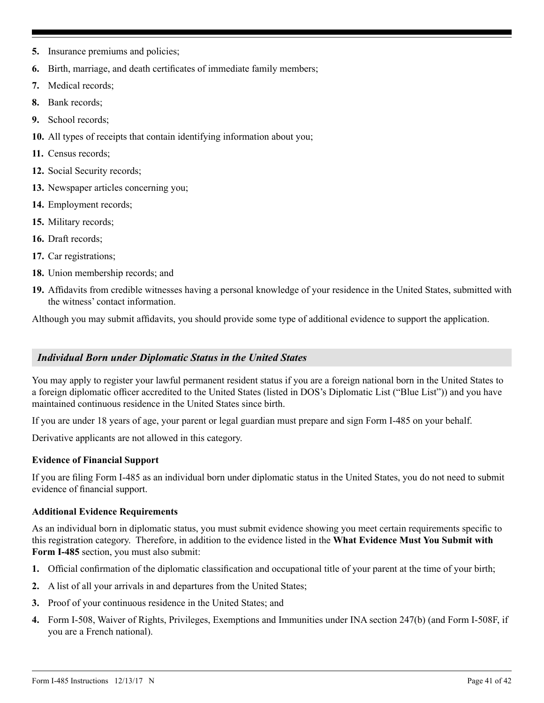- **5.** Insurance premiums and policies;
- **6.** Birth, marriage, and death certificates of immediate family members;
- **7.** Medical records;
- **8.** Bank records;
- **9.** School records;
- **10.** All types of receipts that contain identifying information about you;
- **11.** Census records;
- **12.** Social Security records;
- **13.** Newspaper articles concerning you;
- **14.** Employment records;
- **15.** Military records;
- **16.** Draft records;
- **17.** Car registrations;
- **18.** Union membership records; and
- **19.** Affidavits from credible witnesses having a personal knowledge of your residence in the United States, submitted with the witness' contact information.

Although you may submit affidavits, you should provide some type of additional evidence to support the application.

## *Individual Born under Diplomatic Status in the United States*

You may apply to register your lawful permanent resident status if you are a foreign national born in the United States to a foreign diplomatic officer accredited to the United States (listed in DOS's Diplomatic List ("Blue List")) and you have maintained continuous residence in the United States since birth.

If you are under 18 years of age, your parent or legal guardian must prepare and sign Form I-485 on your behalf.

Derivative applicants are not allowed in this category.

## **Evidence of Financial Support**

If you are filing Form I-485 as an individual born under diplomatic status in the United States, you do not need to submit evidence of financial support.

## **Additional Evidence Requirements**

As an individual born in diplomatic status, you must submit evidence showing you meet certain requirements specific to this registration category. Therefore, in addition to the evidence listed in the **What Evidence Must You Submit with Form I-485** section, you must also submit:

- **1.** Official confirmation of the diplomatic classification and occupational title of your parent at the time of your birth;
- **2.** A list of all your arrivals in and departures from the United States;
- **3.** Proof of your continuous residence in the United States; and
- **4.** Form I-508, Waiver of Rights, Privileges, Exemptions and Immunities under INA section 247(b) (and Form I-508F, if you are a French national).